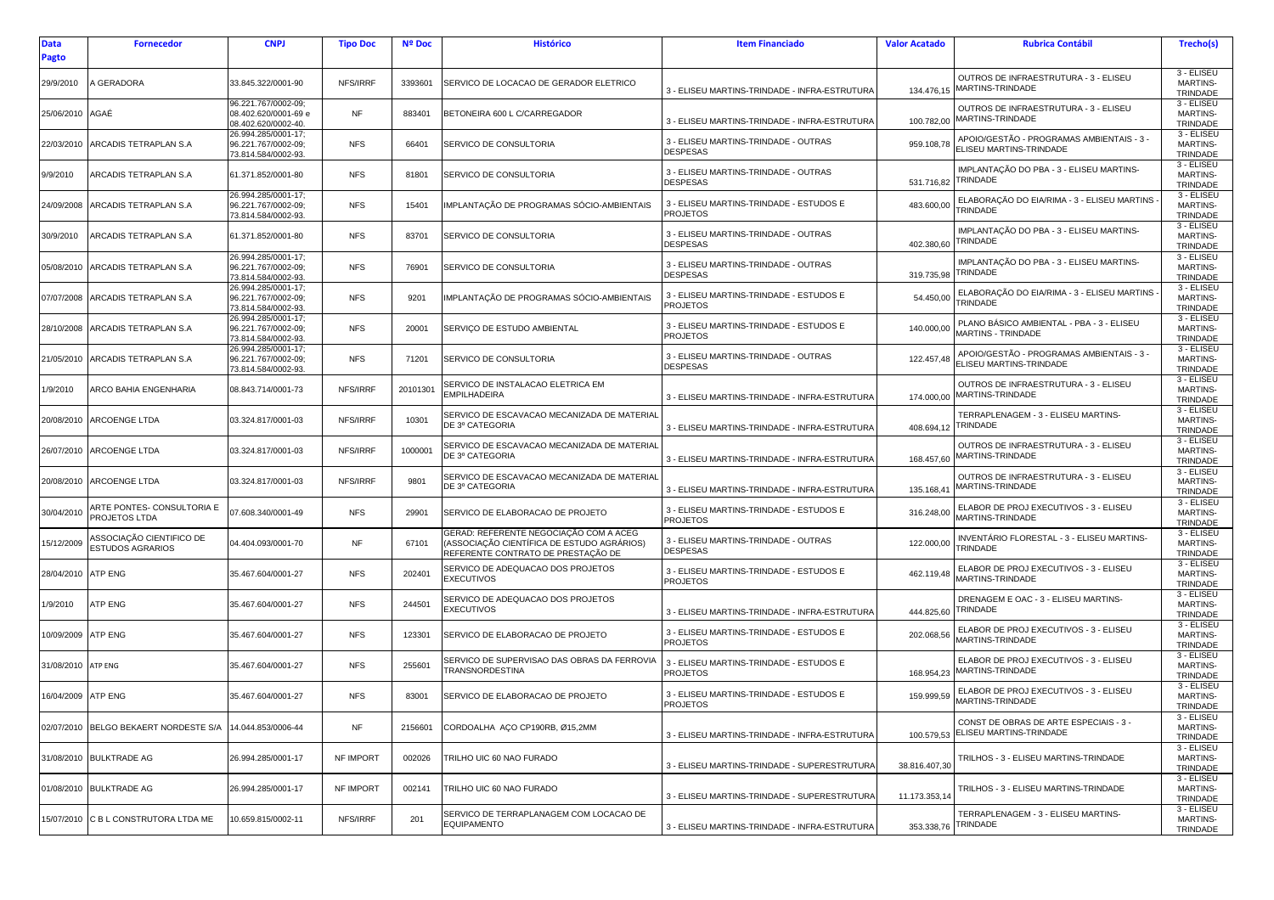| <b>Data</b><br><b>Pagto</b> | <b>Fornecedor</b>                                        | <b>CNPJ</b>                                                        | <b>Tipo Doc</b> | <b>Nº Doc</b> | <b>Histórico</b>                                                                                                          | <b>Item Financiado</b>                                     | <b>Valor Acatado</b> | <b>Rubrica Contábil</b>                                                      | Trecho(s)                                   |
|-----------------------------|----------------------------------------------------------|--------------------------------------------------------------------|-----------------|---------------|---------------------------------------------------------------------------------------------------------------------------|------------------------------------------------------------|----------------------|------------------------------------------------------------------------------|---------------------------------------------|
| 29/9/2010                   | <b><i>SERADORA</i></b>                                   | 33.845.322/0001-90                                                 | NFS/IRRF        | 3393601       | SERVICO DE LOCACAO DE GERADOR ELETRICO                                                                                    | 3 - ELISEU MARTINS-TRINDADE - INFRA-ESTRUTURA              | 134.476,15           | OUTROS DE INFRAESTRUTURA - 3 - ELISEU<br>MARTINS-TRINDADE                    | 3 - ELISEU<br>MARTINS-<br>TRINDADE          |
| 25/06/2010                  | AGAÉ                                                     | 96.221.767/0002-09;<br>08.402.620/0001-69 e<br>08.402.620/0002-40. | <b>NF</b>       | 883401        | BETONEIRA 600 L C/CARREGADOR                                                                                              | 3 - ELISEU MARTINS-TRINDADE - INFRA-ESTRUTURA              | 100.782,00           | OUTROS DE INFRAESTRUTURA - 3 - ELISEU<br>MARTINS-TRINDADE                    | 3 - ELISEU<br>MARTINS-<br>TRINDADE          |
| 22/03/2010                  | ARCADIS TETRAPLAN S.A                                    | 26.994.285/0001-17;<br>96.221.767/0002-09;<br>73.814.584/0002-93.  | <b>NFS</b>      | 66401         | SERVICO DE CONSULTORIA                                                                                                    | 3 - ELISEU MARTINS-TRINDADE - OUTRAS<br><b>DESPESAS</b>    | 959.108,78           | APOIO/GESTÃO - PROGRAMAS AMBIENTAIS - 3 -<br>ELISEU MARTINS-TRINDADE         | 3 - ELISEU<br><b>MARTINS-</b><br>TRINDADE   |
| 9/9/2010                    | ARCADIS TETRAPLAN S.A                                    | 61.371.852/0001-80                                                 | <b>NFS</b>      | 81801         | SERVICO DE CONSULTORIA                                                                                                    | 3 - ELISEU MARTINS-TRINDADE - OUTRAS<br><b>DESPESAS</b>    |                      | IMPLANTAÇÃO DO PBA - 3 - ELISEU MARTINS-<br>531.716,82 TRINDADE              | 3 - ELISEU<br><b>MARTINS-</b><br>TRINDADE   |
| 24/09/2008                  | ARCADIS TETRAPLAN S.A                                    | 26.994.285/0001-17;<br>96.221.767/0002-09;<br>73.814.584/0002-93.  | <b>NFS</b>      | 15401         | IMPLANTAÇÃO DE PROGRAMAS SÓCIO-AMBIENTAIS                                                                                 | 3 - ELISEU MARTINS-TRINDADE - ESTUDOS E<br><b>PROJETOS</b> | 483.600,00           | ELABORAÇÃO DO EIA/RIMA - 3 - ELISEU MARTINS<br>TRINDADE                      | 3 - ELISEU<br><b>MARTINS-</b><br>TRINDADE   |
| 30/9/2010                   | ARCADIS TETRAPLAN S.A                                    | 61.371.852/0001-80                                                 | <b>NFS</b>      | 83701         | SERVICO DE CONSULTORIA                                                                                                    | 3 - ELISEU MARTINS-TRINDADE - OUTRAS<br><b>DESPESAS</b>    | 402.380,60           | IMPLANTAÇÃO DO PBA - 3 - ELISEU MARTINS-<br>TRINDADE                         | 3 - ELISEU<br>MARTINS-<br>TRINDADE          |
| 05/08/2010                  | ARCADIS TETRAPLAN S.A                                    | 26.994.285/0001-17;<br>96.221.767/0002-09;<br>73.814.584/0002-93.  | <b>NFS</b>      | 76901         | SERVICO DE CONSULTORIA                                                                                                    | 3 - ELISEU MARTINS-TRINDADE - OUTRAS<br><b>DESPESAS</b>    | 319.735,98           | IMPLANTAÇÃO DO PBA - 3 - ELISEU MARTINS-<br>TRINDADE                         | 3 - ELISEU<br><b>MARTINS-</b><br>TRINDADE   |
| 07/07/2008                  | ARCADIS TETRAPLAN S.A                                    | 26.994.285/0001-17;<br>96.221.767/0002-09;<br>73.814.584/0002-93.  | <b>NFS</b>      | 9201          | IMPLANTAÇÃO DE PROGRAMAS SÓCIO-AMBIENTAIS                                                                                 | 3 - ELISEU MARTINS-TRINDADE - ESTUDOS E<br><b>PROJETOS</b> | 54.450,00            | ELABORAÇÃO DO EIA/RIMA - 3 - ELISEU MARTINS<br>TRINDADE                      | 3 - ELISEU<br><b>MARTINS-</b><br>TRINDADE   |
| 28/10/2008                  | ARCADIS TETRAPLAN S.A                                    | 26.994.285/0001-17;<br>96.221.767/0002-09;<br>73.814.584/0002-93.  | <b>NFS</b>      | 20001         | SERVIÇO DE ESTUDO AMBIENTAL                                                                                               | 3 - ELISEU MARTINS-TRINDADE - ESTUDOS E<br><b>PROJETOS</b> | 140.000,00           | PLANO BÁSICO AMBIENTAL - PBA - 3 - ELISEU<br>MARTINS - TRINDADE              | 3 - ELISEU<br><b>MARTINS-</b><br>TRINDADE   |
| 21/05/2010                  | ARCADIS TETRAPLAN S.A                                    | 26.994.285/0001-17;<br>96.221.767/0002-09;<br>73.814.584/0002-93.  | <b>NFS</b>      | 71201         | SERVICO DE CONSULTORIA                                                                                                    | 3 - ELISEU MARTINS-TRINDADE - OUTRAS<br><b>DESPESAS</b>    | 122.457,48           | APOIO/GESTÃO - PROGRAMAS AMBIENTAIS - 3 -<br>ELISEU MARTINS-TRINDADE         | 3 - ELISEU<br><b>MARTINS-</b><br>TRINDADE   |
| 1/9/2010                    | ARCO BAHIA ENGENHARIA                                    | 08.843.714/0001-73                                                 | NFS/IRRF        | 20101301      | SERVICO DE INSTALACAO ELETRICA EM<br><b>EMPILHADEIRA</b>                                                                  | 3 - ELISEU MARTINS-TRINDADE - INFRA-ESTRUTURA              |                      | OUTROS DE INFRAESTRUTURA - 3 - ELISEU<br>174.000,00 MARTINS-TRINDADE         | 3 - ELISEU<br><b>MARTINS-</b><br>TRINDADE   |
| 20/08/2010                  | <b>ARCOENGE LTDA</b>                                     | 03.324.817/0001-03                                                 | NFS/IRRF        | 10301         | SERVICO DE ESCAVACAO MECANIZADA DE MATERIAL<br>DE 3º CATEGORIA                                                            | 3 - ELISEU MARTINS-TRINDADE - INFRA-ESTRUTURA              | 408.694,12           | TERRAPLENAGEM - 3 - ELISEU MARTINS-<br>TRINDADE                              | 3 - ELISEU<br><b>MARTINS-</b><br>TRINDADE   |
| 26/07/2010                  | ARCOENGE LTDA                                            | 03.324.817/0001-03                                                 | NFS/IRRF        | 1000001       | SERVICO DE ESCAVACAO MECANIZADA DE MATERIAL<br>DE 3º CATEGORIA                                                            | 3 - ELISEU MARTINS-TRINDADE - INFRA-ESTRUTURA              | 168.457,60           | OUTROS DE INFRAESTRUTURA - 3 - ELISEU<br>MARTINS-TRINDADE                    | 3 - ELISEU<br><b>MARTINS-</b><br>TRINDADE   |
| 20/08/2010                  | <b>ARCOENGE LTDA</b>                                     | 03.324.817/0001-03                                                 | NFS/IRRF        | 9801          | SERVICO DE ESCAVACAO MECANIZADA DE MATERIAL<br>DE 3º CATEGORIA                                                            | 3 - ELISEU MARTINS-TRINDADE - INFRA-ESTRUTURA              | 135.168,41           | OUTROS DE INFRAESTRUTURA - 3 - ELISEU<br>MARTINS-TRINDADE                    | $3 - ELISEU$<br><b>MARTINS-</b><br>TRINDADE |
| 30/04/2010                  | ARTE PONTES- CONSULTORIA E<br>PROJETOS LTDA              | 07.608.340/0001-49                                                 | <b>NFS</b>      | 29901         | SERVICO DE ELABORACAO DE PROJETO                                                                                          | 3 - ELISEU MARTINS-TRINDADE - ESTUDOS E<br><b>PROJETOS</b> | 316.248,00           | ELABOR DE PROJ EXECUTIVOS - 3 - ELISEU<br>MARTINS-TRINDADE                   | 3 - ELISEU<br><b>MARTINS-</b><br>TRINDADE   |
| 15/12/2009                  | ASSOCIAÇÃO CIENTIFICO DE<br><b>ESTUDOS AGRARIOS</b>      | 04.404.093/0001-70                                                 | <b>NF</b>       | 67101         | GERAD: REFERENTE NEGOCIAÇÃO COM A ACEG<br>ASSOCIAÇÃO CIENTÍFICA DE ESTUDO AGRÁRIOS)<br>REFERENTE CONTRATO DE PRESTAÇÃO DE | 3 - ELISEU MARTINS-TRINDADE - OUTRAS<br><b>DESPESAS</b>    | 122.000,00           | INVENTÁRIO FLORESTAL - 3 - ELISEU MARTINS-<br><b>TRINDADE</b>                | 3 - ELISEU<br><b>MARTINS-</b><br>TRINDADE   |
| 28/04/2010                  | ATP ENG                                                  | 35.467.604/0001-27                                                 | <b>NFS</b>      | 202401        | SERVICO DE ADEQUACAO DOS PROJETOS<br><b>EXECUTIVOS</b>                                                                    | 3 - ELISEU MARTINS-TRINDADE - ESTUDOS E<br><b>PROJETOS</b> | 462.119,48           | ELABOR DE PROJ EXECUTIVOS - 3 - ELISEU<br>MARTINS-TRINDADE                   | 3 - ELISEU<br><b>MARTINS-</b><br>TRINDADE   |
| 1/9/2010                    | ATP ENG                                                  | 35.467.604/0001-27                                                 | <b>NFS</b>      | 244501        | SERVICO DE ADEQUACAO DOS PROJETOS<br><b>EXECUTIVOS</b>                                                                    | 3 - ELISEU MARTINS-TRINDADE - INFRA-ESTRUTURA              | 444.825,60           | DRENAGEM E OAC - 3 - ELISEU MARTINS-<br>TRINDADE                             | 3 - ELISEU<br><b>MARTINS-</b><br>TRINDADE   |
| 10/09/2009                  | ATP ENG                                                  | 35.467.604/0001-27                                                 | <b>NFS</b>      | 123301        | SERVICO DE ELABORACAO DE PROJETO                                                                                          | 3 - ELISEU MARTINS-TRINDADE - ESTUDOS E<br><b>PROJETOS</b> | 202.068,56           | ELABOR DE PROJ EXECUTIVOS - 3 - ELISEU<br>MARTINS-TRINDADE                   | 3 - ELISEU<br><b>MARTINS-</b><br>TRINDADE   |
| 31/08/2010                  | ATP ENG                                                  | 35.467.604/0001-27                                                 | <b>NFS</b>      | 255601        | SERVICO DE SUPERVISAO DAS OBRAS DA FERROVIA<br>TRANSNORDESTINA                                                            | 3 - ELISEU MARTINS-TRINDADE - ESTUDOS E<br><b>PROJETOS</b> | 168.954,23           | ELABOR DE PROJ EXECUTIVOS - 3 - ELISEU<br><b>MARTINS-TRINDADE</b>            | 3 - ELISEU<br>MARTINS-<br>TRINDADE          |
| 16/04/2009                  | <b>ATP ENG</b>                                           | 35.467.604/0001-27                                                 | <b>NFS</b>      | 83001         | SERVICO DE ELABORACAO DE PROJETO                                                                                          | 3 - ELISEU MARTINS-TRINDADE - ESTUDOS E<br><b>PROJETOS</b> | 159.999,59           | ELABOR DE PROJ EXECUTIVOS - 3 - ELISEU<br>MARTINS-TRINDADE                   | 3 - ELISEU<br><b>MARTINS-</b><br>TRINDADE   |
|                             | 02/07/2010 BELGO BEKAERT NORDESTE S/A 14.044.853/0006-44 |                                                                    | <b>NF</b>       | 2156601       | CORDOALHA AÇO CP190RB, Ø15,2MM                                                                                            | 3 - ELISEU MARTINS-TRINDADE - INFRA-ESTRUTURA              |                      | CONST DE OBRAS DE ARTE ESPECIAIS - 3 -<br>100.579,53 ELISEU MARTINS-TRINDADE | 3 - ELISEU<br><b>MARTINS-</b><br>TRINDADE   |
|                             | 31/08/2010 BULKTRADE AG                                  | 26.994.285/0001-17                                                 | NF IMPORT       | 002026        | TRILHO UIC 60 NAO FURADO                                                                                                  | 3 - ELISEU MARTINS-TRINDADE - SUPERESTRUTURA               | 38.816.407,30        | TRILHOS - 3 - ELISEU MARTINS-TRINDADE                                        | 3 - ELISEU<br><b>MARTINS-</b><br>TRINDADE   |
|                             | 01/08/2010 BULKTRADE AG                                  | 26.994.285/0001-17                                                 | NF IMPORT       | 002141        | TRILHO UIC 60 NAO FURADO                                                                                                  | 3 - ELISEU MARTINS-TRINDADE - SUPERESTRUTURA               | 11.173.353,14        | TRILHOS - 3 - ELISEU MARTINS-TRINDADE                                        | 3 - ELISEU<br><b>MARTINS-</b><br>TRINDADE   |
|                             | 15/07/2010 C B L CONSTRUTORA LTDA ME                     | 10.659.815/0002-11                                                 | NFS/IRRF        | 201           | SERVICO DE TERRAPLANAGEM COM LOCACAO DE<br><b>EQUIPAMENTO</b>                                                             | 3 - ELISEU MARTINS-TRINDADE - INFRA-ESTRUTURA              |                      | TERRAPLENAGEM - 3 - ELISEU MARTINS-<br>353.338,76 TRINDADE                   | 3 - ELISEU<br><b>MARTINS-</b><br>TRINDADE   |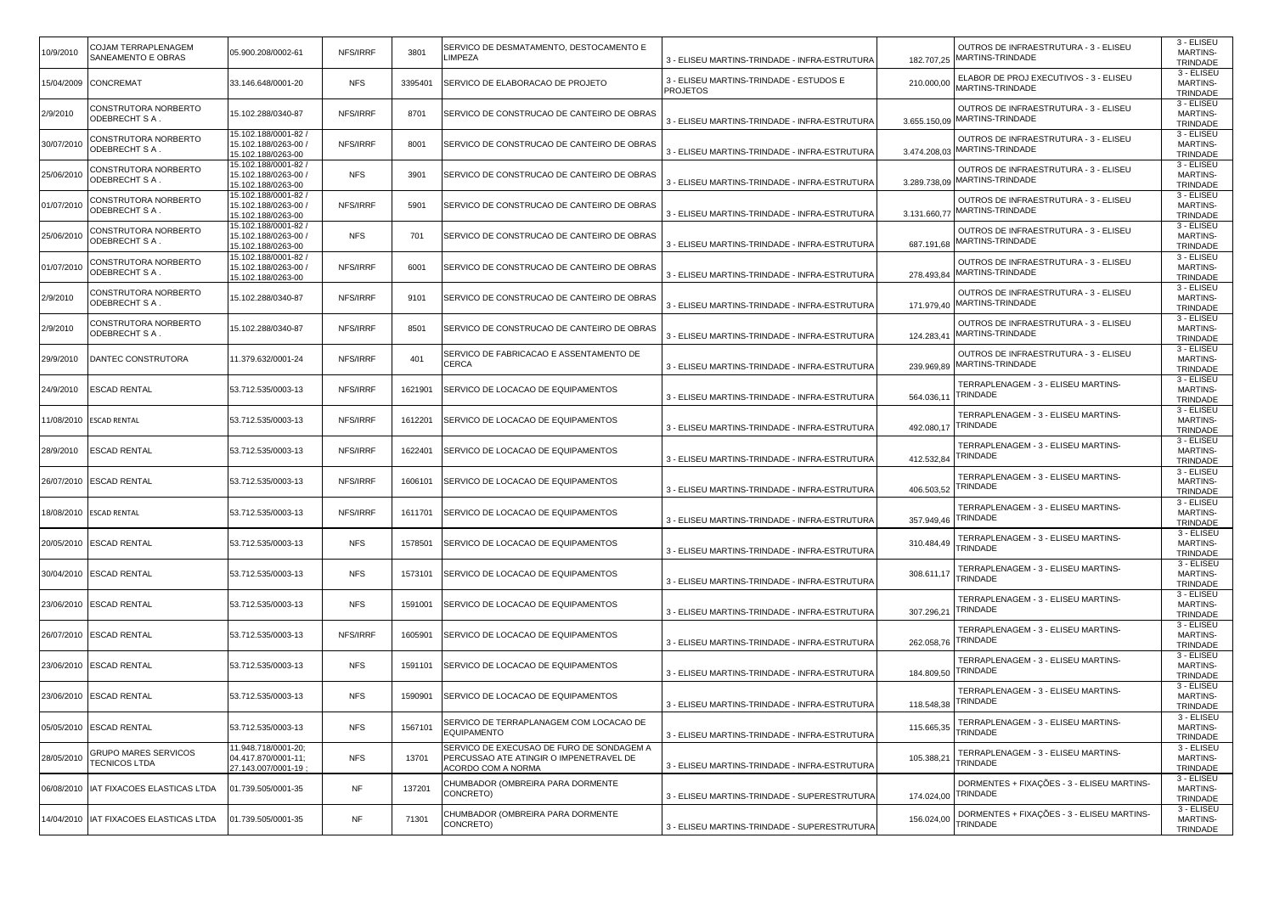| 0/9/2010   | COJAM TERRAPLENAGEM<br>SANEAMENTO E OBRAS           | 05.900.208/0002-61                                                 | NFS/IRRF   | 3801    | SERVICO DE DESMATAMENTO, DESTOCAMENTO E<br>LIMPEZA                                                         | 3 - ELISEU MARTINS-TRINDADE - INFRA-ESTRUTURA              | OUTROS DE INFRAESTRUTURA - 3 - ELISEU<br>MARTINS-TRINDADE<br>182.707,25         | 3 - ELISEU<br><b>MARTINS-</b><br><b>TRINDADE</b> |
|------------|-----------------------------------------------------|--------------------------------------------------------------------|------------|---------|------------------------------------------------------------------------------------------------------------|------------------------------------------------------------|---------------------------------------------------------------------------------|--------------------------------------------------|
|            | 15/04/2009 CONCREMAT                                | 33.146.648/0001-20                                                 | <b>NFS</b> | 3395401 | SERVICO DE ELABORACAO DE PROJETO                                                                           | 3 - ELISEU MARTINS-TRINDADE - ESTUDOS E<br><b>PROJETOS</b> | ELABOR DE PROJ EXECUTIVOS - 3 - ELISEU<br>210.000,00<br><b>MARTINS-TRINDADE</b> | 3 - ELISEU<br><b>MARTINS-</b><br>TRINDADE        |
| 2/9/2010   | CONSTRUTORA NORBERTO<br>ODEBRECHT S A.              | 15.102.288/0340-87                                                 | NFS/IRRF   | 8701    | SERVICO DE CONSTRUCAO DE CANTEIRO DE OBRAS                                                                 | 3 - ELISEU MARTINS-TRINDADE - INFRA-ESTRUTURA              | OUTROS DE INFRAESTRUTURA - 3 - ELISEU<br>MARTINS-TRINDADE<br>3.655.150,09       | 3 - ELISEU<br><b>MARTINS-</b><br>TRINDADE        |
| 30/07/2010 | CONSTRUTORA NORBERTO<br>ODEBRECHT S A .             | 15.102.188/0001-82<br>15.102.188/0263-00 /<br>15.102.188/0263-00   | NFS/IRRF   | 8001    | SERVICO DE CONSTRUCAO DE CANTEIRO DE OBRAS                                                                 | 3 - ELISEU MARTINS-TRINDADE - INFRA-ESTRUTURA              | OUTROS DE INFRAESTRUTURA - 3 - ELISEU<br>MARTINS-TRINDADE<br>3.474.208,03       | 3 - ELISEU<br><b>MARTINS-</b><br>TRINDADE        |
| 25/06/2010 | CONSTRUTORA NORBERTO<br>ODEBRECHT S A .             | 15.102.188/0001-82<br>15.102.188/0263-00 /<br>15.102.188/0263-00   | <b>NFS</b> | 3901    | SERVICO DE CONSTRUCAO DE CANTEIRO DE OBRAS                                                                 | 3 - ELISEU MARTINS-TRINDADE - INFRA-ESTRUTURA              | OUTROS DE INFRAESTRUTURA - 3 - ELISEU<br>MARTINS-TRINDADE<br>3.289.738,09       | 3 - ELISEU<br><b>MARTINS-</b><br>TRINDADE        |
| 01/07/2010 | CONSTRUTORA NORBERTO<br>ODEBRECHT S A.              | 15.102.188/0001-82<br>15.102.188/0263-00 /<br>15.102.188/0263-00   | NFS/IRRF   | 5901    | SERVICO DE CONSTRUCAO DE CANTEIRO DE OBRAS                                                                 | 3 - ELISEU MARTINS-TRINDADE - INFRA-ESTRUTURA              | OUTROS DE INFRAESTRUTURA - 3 - ELISEU<br>MARTINS-TRINDADE<br>3.131.660,77       | 3 - ELISEU<br>MARTINS-<br>TRINDADE               |
| 25/06/2010 | CONSTRUTORA NORBERTO<br>ODEBRECHT S A .             | 15.102.188/0001-82<br>15.102.188/0263-00<br>15.102.188/0263-00     | <b>NFS</b> | 701     | SERVICO DE CONSTRUCAO DE CANTEIRO DE OBRAS                                                                 | 3 - ELISEU MARTINS-TRINDADE - INFRA-ESTRUTURA              | OUTROS DE INFRAESTRUTURA - 3 - ELISEU<br>MARTINS-TRINDADE<br>687.191,68         | 3 - ELISEU<br><b>MARTINS-</b><br>TRINDADE        |
| 01/07/2010 | CONSTRUTORA NORBERTO<br>ODEBRECHT S A .             | 15.102.188/0001-82<br>15.102.188/0263-00 /<br>15.102.188/0263-00   | NFS/IRRF   | 6001    | SERVICO DE CONSTRUCAO DE CANTEIRO DE OBRAS                                                                 | 3 - ELISEU MARTINS-TRINDADE - INFRA-ESTRUTURA              | OUTROS DE INFRAESTRUTURA - 3 - ELISEU<br>MARTINS-TRINDADE<br>278.493,84         | 3 - ELISEU<br>MARTINS-<br>TRINDADE               |
| 2/9/2010   | CONSTRUTORA NORBERTO<br>ODEBRECHT SA.               | 15.102.288/0340-87                                                 | NFS/IRRF   | 9101    | SERVICO DE CONSTRUCAO DE CANTEIRO DE OBRAS                                                                 | 3 - ELISEU MARTINS-TRINDADE - INFRA-ESTRUTURA              | OUTROS DE INFRAESTRUTURA - 3 - ELISEU<br>MARTINS-TRINDADE<br>171.979,40         | 3 - ELISEU<br><b>MARTINS-</b><br><b>TRINDADE</b> |
| 2/9/2010   | CONSTRUTORA NORBERTO<br>ODEBRECHT S A.              | 15.102.288/0340-87                                                 | NFS/IRRF   | 8501    | SERVICO DE CONSTRUCAO DE CANTEIRO DE OBRAS                                                                 | 3 - ELISEU MARTINS-TRINDADE - INFRA-ESTRUTURA              | OUTROS DE INFRAESTRUTURA - 3 - ELISEU<br>MARTINS-TRINDADE<br>124.283,41         | 3 - ELISEU<br><b>MARTINS-</b><br>TRINDADE        |
| 29/9/2010  | DANTEC CONSTRUTORA                                  | 11.379.632/0001-24                                                 | NFS/IRRF   | 401     | SERVICO DE FABRICACAO E ASSENTAMENTO DE<br>CERCA                                                           | 3 - ELISEU MARTINS-TRINDADE - INFRA-ESTRUTURA              | OUTROS DE INFRAESTRUTURA - 3 - ELISEU<br>MARTINS-TRINDADE<br>239.969,89         | 3 - ELISEU<br><b>MARTINS-</b><br>TRINDADE        |
| 24/9/2010  | ESCAD RENTAL                                        | 53.712.535/0003-13                                                 | NFS/IRRF   | 1621901 | SERVICO DE LOCACAO DE EQUIPAMENTOS                                                                         | 3 - ELISEU MARTINS-TRINDADE - INFRA-ESTRUTURA              | TERRAPLENAGEM - 3 - ELISEU MARTINS-<br>TRINDADE<br>564.036,1                    | 3 - ELISEU<br><b>MARTINS-</b><br>TRINDADE        |
|            | 1/08/2010 ESCAD RENTAL                              | 53.712.535/0003-13                                                 | NFS/IRRF   | 1612201 | SERVICO DE LOCACAO DE EQUIPAMENTOS                                                                         | 3 - ELISEU MARTINS-TRINDADE - INFRA-ESTRUTURA              | TERRAPLENAGEM - 3 - ELISEU MARTINS-<br>TRINDADE<br>492.080,17                   | 3 - ELISEU<br><b>MARTINS-</b><br>TRINDADE        |
| 28/9/2010  | <b>ESCAD RENTAL</b>                                 | 53.712.535/0003-13                                                 | NFS/IRRF   | 1622401 | SERVICO DE LOCACAO DE EQUIPAMENTOS                                                                         | 3 - ELISEU MARTINS-TRINDADE - INFRA-ESTRUTURA              | TERRAPLENAGEM - 3 - ELISEU MARTINS-<br>TRINDADE<br>412.532,84                   | 3 - ELISEU<br><b>MARTINS-</b><br>TRINDADE        |
|            | 26/07/2010 ESCAD RENTAL                             | 53.712.535/0003-13                                                 | NFS/IRRF   | 1606101 | SERVICO DE LOCACAO DE EQUIPAMENTOS                                                                         | 3 - ELISEU MARTINS-TRINDADE - INFRA-ESTRUTURA              | TERRAPLENAGEM - 3 - ELISEU MARTINS<br>TRINDADE<br>406.503,52                    | 3 - ELISEU<br><b>MARTINS-</b><br>TRINDADE        |
|            | 8/08/2010 ESCAD RENTAL                              | 53.712.535/0003-13                                                 | NFS/IRRF   | 1611701 | SERVICO DE LOCACAO DE EQUIPAMENTOS                                                                         | 3 - ELISEU MARTINS-TRINDADE - INFRA-ESTRUTURA              | TERRAPLENAGEM - 3 - ELISEU MARTINS-<br>TRINDADE<br>357.949,46                   | 3 - ELISEU<br>MARTINS-<br>TRINDADE               |
|            | 20/05/2010 ESCAD RENTAL                             | 53.712.535/0003-13                                                 | <b>NFS</b> | 1578501 | SERVICO DE LOCACAO DE EQUIPAMENTOS                                                                         | 3 - ELISEU MARTINS-TRINDADE - INFRA-ESTRUTURA              | TERRAPLENAGEM - 3 - ELISEU MARTINS<br>310.484,49<br><b>TRINDADE</b>             | 3 - ELISEU<br><b>MARTINS-</b><br>TRINDADE        |
|            | 30/04/2010 ESCAD RENTAL                             | 53.712.535/0003-13                                                 | <b>NFS</b> | 1573101 | SERVICO DE LOCACAO DE EQUIPAMENTOS                                                                         | 3 - ELISEU MARTINS-TRINDADE - INFRA-ESTRUTURA              | TERRAPLENAGEM - 3 - ELISEU MARTINS-<br>308.611,17<br>TRINDADE                   | 3 - ELISEU<br><b>MARTINS-</b><br>TRINDADE        |
|            | 23/06/2010 ESCAD RENTAL                             | 53.712.535/0003-13                                                 | <b>NFS</b> | 1591001 | SERVICO DE LOCACAO DE EQUIPAMENTOS                                                                         | 3 - ELISEU MARTINS-TRINDADE - INFRA-ESTRUTURA              | TERRAPLENAGEM - 3 - ELISEU MARTINS-<br>TRINDADE<br>307.296,21                   | 3 - ELISEU<br><b>MARTINS-</b><br>TRINDADE        |
|            | 26/07/2010 ESCAD RENTAL                             | 53.712.535/0003-13                                                 | NFS/IRRF   | 1605901 | SERVICO DE LOCACAO DE EQUIPAMENTOS                                                                         | 3 - ELISEU MARTINS-TRINDADE - INFRA-ESTRUTURA              | TERRAPLENAGEM - 3 - ELISEU MARTINS-<br>TRINDADE<br>262.058,76                   | 3 - ELISEU<br><b>MARTINS-</b><br>TRINDADE        |
|            | 23/06/2010 ESCAD RENTAL                             | 53.712.535/0003-13                                                 | <b>NFS</b> | 1591101 | SERVICO DE LOCACAO DE EQUIPAMENTOS                                                                         | 3 - ELISEU MARTINS-TRINDADE - INFRA-ESTRUTURA              | TERRAPLENAGEM - 3 - ELISEU MARTINS-<br>TRINDADE<br>184.809,50                   | 3 - ELISEU<br><b>MARTINS-</b><br>TRINDADE        |
|            | 23/06/2010 ESCAD RENTAL                             | 53.712.535/0003-13                                                 | <b>NFS</b> | 1590901 | SERVICO DE LOCACAO DE EQUIPAMENTOS                                                                         | 3 - ELISEU MARTINS-TRINDADE - INFRA-ESTRUTURA              | TERRAPLENAGEM - 3 - ELISEU MARTINS-<br>TRINDADE<br>118.548,38                   | 3 - ELISEU<br><b>MARTINS-</b><br>TRINDADE        |
|            | 05/05/2010 ESCAD RENTAL                             | 53.712.535/0003-13                                                 | <b>NFS</b> | 1567101 | SERVICO DE TERRAPLANAGEM COM LOCACAO DE<br><b>EQUIPAMENTO</b>                                              | 3 - ELISEU MARTINS-TRINDADE - INFRA-ESTRUTURA              | TERRAPLENAGEM - 3 - ELISEU MARTINS-<br>115.665,35<br>TRINDADE                   | 3 - ELISEU<br><b>MARTINS-</b><br>TRINDADE        |
| 28/05/2010 | <b>GRUPO MARES SERVICOS</b><br><b>TECNICOS LTDA</b> | 11.948.718/0001-20;<br>04.417.870/0001-11;<br>27.143.007/0001-19 ; | <b>NFS</b> | 13701   | SERVICO DE EXECUSAO DE FURO DE SONDAGEM A<br>PERCUSSAO ATE ATINGIR O IMPENETRAVEL DE<br>ACORDO COM A NORMA | 3 - ELISEU MARTINS-TRINDADE - INFRA-ESTRUTURA              | TERRAPLENAGEM - 3 - ELISEU MARTINS-<br>105.388,21<br>TRINDADE                   | 3 - ELISEU<br><b>MARTINS-</b><br>TRINDADE        |
|            | 06/08/2010 IAT FIXACOES ELASTICAS LTDA              | 01.739.505/0001-35                                                 | <b>NF</b>  | 137201  | CHUMBADOR (OMBREIRA PARA DORMENTE<br>CONCRETO)                                                             | 3 - ELISEU MARTINS-TRINDADE - SUPERESTRUTURA               | DORMENTES + FIXAÇÕES - 3 - ELISEU MARTINS-<br>TRINDADE<br>174.024,00            | 3 - ELISEU<br><b>MARTINS-</b><br>TRINDADE        |
|            | 4/04/2010 IAT FIXACOES ELASTICAS LTDA               | 01.739.505/0001-35                                                 | NF         | 71301   | CHUMBADOR (OMBREIRA PARA DORMENTE<br>CONCRETO)                                                             | 3 - ELISEU MARTINS-TRINDADE - SUPERESTRUTURA               | DORMENTES + FIXAÇÕES - 3 - ELISEU MARTINS-<br>156.024,00<br>TRINDADE            | 3 - ELISEU<br><b>MARTINS-</b><br>TRINDADE        |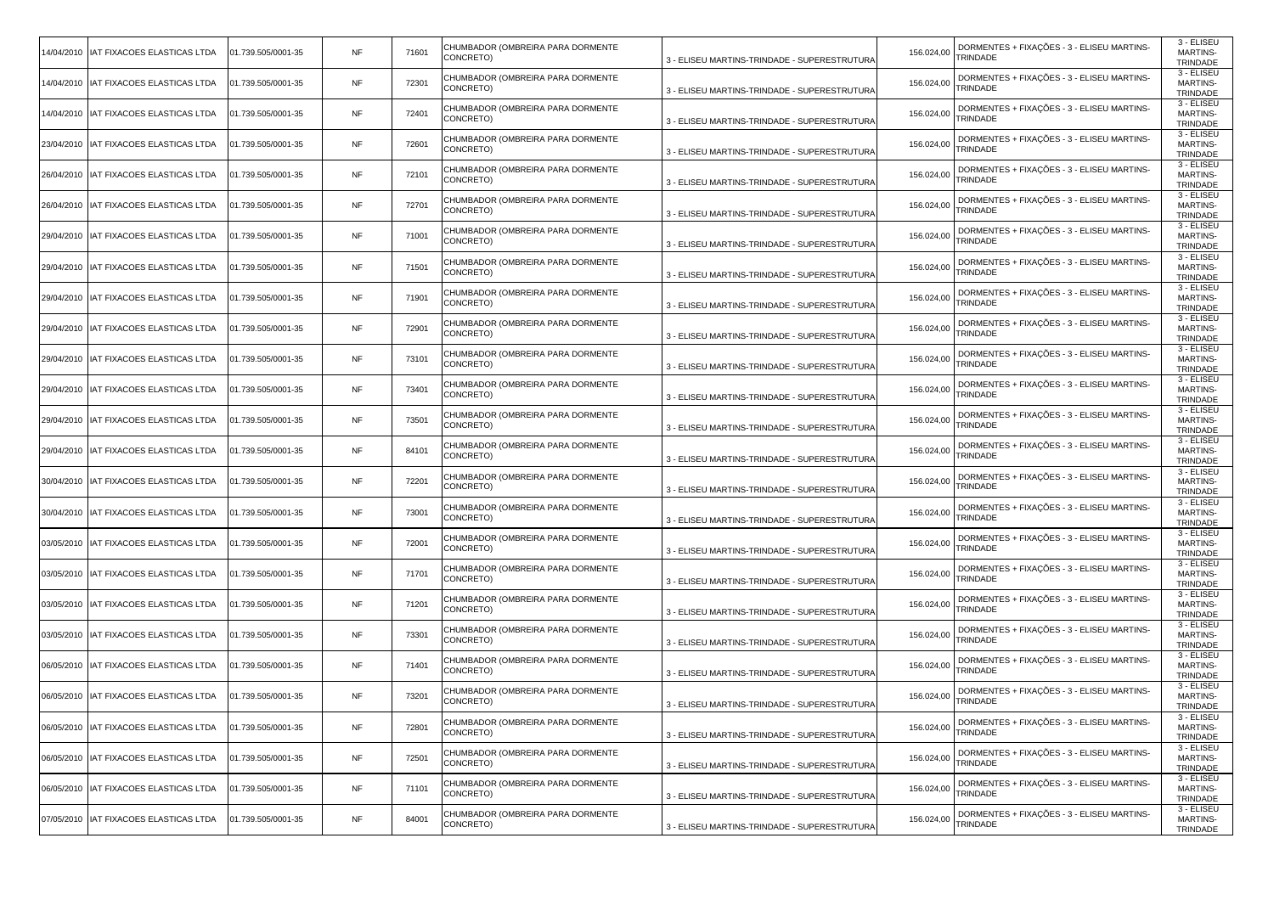| 14/04/2010 IAT FIXACOES ELASTICAS LTDA   | 01.739.505/0001-35 | NF        | 71601 | CHUMBADOR (OMBREIRA PARA DORMENTE<br>CONCRETO) | 3 - ELISEU MARTINS-TRINDADE - SUPERESTRUTURA | 156.024,00 | DORMENTES + FIXAÇÕES - 3 - ELISEU MARTINS-<br>TRINDADE        | 3 - ELISEU<br><b>MARTINS-</b><br>TRINDADE |
|------------------------------------------|--------------------|-----------|-------|------------------------------------------------|----------------------------------------------|------------|---------------------------------------------------------------|-------------------------------------------|
| 14/04/2010 IAT FIXACOES ELASTICAS LTDA   | 01.739.505/0001-35 | NF        | 72301 | CHUMBADOR (OMBREIRA PARA DORMENTE<br>CONCRETO) | 3 - ELISEU MARTINS-TRINDADE - SUPERESTRUTURA | 156.024,00 | DORMENTES + FIXAÇÕES - 3 - ELISEU MARTINS-<br>TRINDADE        | 3 - ELISEU<br><b>MARTINS-</b><br>TRINDADE |
| 14/04/2010   IAT FIXACOES ELASTICAS LTDA | 01.739.505/0001-35 | <b>NF</b> | 72401 | CHUMBADOR (OMBREIRA PARA DORMENTE<br>CONCRETO) | 3 - ELISEU MARTINS-TRINDADE - SUPERESTRUTURA | 156.024,00 | DORMENTES + FIXAÇÕES - 3 - ELISEU MARTINS-<br>TRINDADE        | 3 - ELISEU<br><b>MARTINS-</b><br>TRINDADE |
| 23/04/2010   IAT FIXACOES ELASTICAS LTDA | 01.739.505/0001-35 | NF        | 72601 | CHUMBADOR (OMBREIRA PARA DORMENTE<br>CONCRETO) | 3 - ELISEU MARTINS-TRINDADE - SUPERESTRUTURA | 156.024,00 | DORMENTES + FIXAÇÕES - 3 - ELISEU MARTINS-<br>TRINDADE        | 3 - ELISEU<br><b>MARTINS-</b><br>TRINDADE |
| 26/04/2010   IAT FIXACOES ELASTICAS LTDA | 01.739.505/0001-35 | NF        | 72101 | CHUMBADOR (OMBREIRA PARA DORMENTE<br>CONCRETO) | 3 - ELISEU MARTINS-TRINDADE - SUPERESTRUTURA | 156.024,00 | DORMENTES + FIXAÇÕES - 3 - ELISEU MARTINS-<br>TRINDADE        | 3 - ELISEU<br><b>MARTINS-</b><br>TRINDADE |
| 26/04/2010   IAT FIXACOES ELASTICAS LTDA | 01.739.505/0001-35 | NF        | 72701 | CHUMBADOR (OMBREIRA PARA DORMENTE<br>CONCRETO) | 3 - ELISEU MARTINS-TRINDADE - SUPERESTRUTURA | 156.024,00 | DORMENTES + FIXAÇÕES - 3 - ELISEU MARTINS-<br>TRINDADE        | 3 - ELISEU<br><b>MARTINS-</b><br>TRINDADE |
| 29/04/2010   IAT FIXACOES ELASTICAS LTDA | 01.739.505/0001-35 | <b>NF</b> | 71001 | CHUMBADOR (OMBREIRA PARA DORMENTE<br>CONCRETO) | 3 - ELISEU MARTINS-TRINDADE - SUPERESTRUTURA | 156.024,00 | DORMENTES + FIXAÇÕES - 3 - ELISEU MARTINS-<br>TRINDADE        | 3 - ELISEU<br><b>MARTINS-</b><br>TRINDADE |
| 29/04/2010   IAT FIXACOES ELASTICAS LTDA | 01.739.505/0001-35 | NF        | 71501 | CHUMBADOR (OMBREIRA PARA DORMENTE<br>CONCRETO) | 3 - ELISEU MARTINS-TRINDADE - SUPERESTRUTURA | 156.024,00 | DORMENTES + FIXAÇÕES - 3 - ELISEU MARTINS-<br>TRINDADE        | 3 - ELISEU<br><b>MARTINS-</b><br>TRINDADE |
| 29/04/2010   IAT FIXACOES ELASTICAS LTDA | 01.739.505/0001-35 | NF        | 71901 | CHUMBADOR (OMBREIRA PARA DORMENTE<br>CONCRETO) | 3 - ELISEU MARTINS-TRINDADE - SUPERESTRUTURA | 156.024,00 | DORMENTES + FIXAÇÕES - 3 - ELISEU MARTINS-<br>TRINDADE        | 3 - ELISEU<br><b>MARTINS-</b><br>TRINDADE |
| 29/04/2010   IAT FIXACOES ELASTICAS LTDA | 01.739.505/0001-35 | NF        | 72901 | CHUMBADOR (OMBREIRA PARA DORMENTE<br>CONCRETO) | 3 - ELISEU MARTINS-TRINDADE - SUPERESTRUTURA | 156.024,00 | DORMENTES + FIXAÇÕES - 3 - ELISEU MARTINS-<br>TRINDADE        | 3 - ELISEU<br><b>MARTINS-</b><br>TRINDADE |
| 29/04/2010 IAT FIXACOES ELASTICAS LTDA   | 01.739.505/0001-35 | NF        | 73101 | CHUMBADOR (OMBREIRA PARA DORMENTE<br>CONCRETO) | 3 - ELISEU MARTINS-TRINDADE - SUPERESTRUTURA | 156.024,00 | DORMENTES + FIXAÇÕES - 3 - ELISEU MARTINS-<br>TRINDADE        | 3 - ELISEU<br><b>MARTINS-</b><br>TRINDADE |
| 29/04/2010   IAT FIXACOES ELASTICAS LTDA | 01.739.505/0001-35 | <b>NF</b> | 73401 | CHUMBADOR (OMBREIRA PARA DORMENTE<br>CONCRETO) | 3 - ELISEU MARTINS-TRINDADE - SUPERESTRUTURA | 156.024,00 | DORMENTES + FIXAÇÕES - 3 - ELISEU MARTINS-<br>TRINDADE        | 3 - ELISEU<br><b>MARTINS-</b><br>TRINDADE |
| 29/04/2010   IAT FIXACOES ELASTICAS LTDA | 01.739.505/0001-35 | NF        | 73501 | CHUMBADOR (OMBREIRA PARA DORMENTE<br>CONCRETO) | 3 - ELISEU MARTINS-TRINDADE - SUPERESTRUTURA | 156.024,00 | DORMENTES + FIXAÇÕES - 3 - ELISEU MARTINS-<br>TRINDADE        | 3 - ELISEU<br><b>MARTINS-</b><br>TRINDADE |
| 29/04/2010   IAT FIXACOES ELASTICAS LTDA | 01.739.505/0001-35 | NF        | 84101 | CHUMBADOR (OMBREIRA PARA DORMENTE<br>CONCRETO) | 3 - ELISEU MARTINS-TRINDADE - SUPERESTRUTURA | 156.024,00 | DORMENTES + FIXAÇÕES - 3 - ELISEU MARTINS-<br>TRINDADE        | 3 - ELISEU<br><b>MARTINS-</b><br>TRINDADE |
| 30/04/2010   IAT FIXACOES ELASTICAS LTDA | 01.739.505/0001-35 | NF        | 72201 | CHUMBADOR (OMBREIRA PARA DORMENTE<br>CONCRETO) | 3 - ELISEU MARTINS-TRINDADE - SUPERESTRUTURA | 156.024,00 | DORMENTES + FIXAÇÕES - 3 - ELISEU MARTINS-<br>TRINDADE        | 3 - ELISEU<br><b>MARTINS-</b><br>TRINDADE |
| 30/04/2010   IAT FIXACOES ELASTICAS LTDA | 01.739.505/0001-35 | <b>NF</b> | 73001 | CHUMBADOR (OMBREIRA PARA DORMENTE<br>CONCRETO) | 3 - ELISEU MARTINS-TRINDADE - SUPERESTRUTURA | 156.024,00 | DORMENTES + FIXAÇÕES - 3 - ELISEU MARTINS-<br>TRINDADE        | 3 - ELISEU<br><b>MARTINS-</b><br>TRINDADE |
| 03/05/2010   IAT FIXACOES ELASTICAS LTDA | 01.739.505/0001-35 | <b>NF</b> | 72001 | CHUMBADOR (OMBREIRA PARA DORMENTE<br>CONCRETO) | 3 - ELISEU MARTINS-TRINDADE - SUPERESTRUTURA | 156.024,00 | DORMENTES + FIXAÇÕES - 3 - ELISEU MARTINS-<br>TRINDADE        | 3 - ELISEU<br><b>MARTINS-</b><br>TRINDADE |
| 03/05/2010   IAT FIXACOES ELASTICAS LTDA | 01.739.505/0001-35 | NF        | 71701 | CHUMBADOR (OMBREIRA PARA DORMENTE<br>CONCRETO) | 3 - ELISEU MARTINS-TRINDADE - SUPERESTRUTURA | 156.024,00 | DORMENTES + FIXAÇÕES - 3 - ELISEU MARTINS-<br>TRINDADE        | 3 - ELISEU<br><b>MARTINS-</b><br>TRINDADE |
| 03/05/2010   IAT FIXACOES ELASTICAS LTDA | 01.739.505/0001-35 | <b>NF</b> | 71201 | CHUMBADOR (OMBREIRA PARA DORMENTE<br>CONCRETO) | 3 - ELISEU MARTINS-TRINDADE - SUPERESTRUTURA | 156.024,00 | DORMENTES + FIXAÇÕES - 3 - ELISEU MARTINS-<br>TRINDADE        | 3 - ELISEU<br><b>MARTINS-</b><br>TRINDADE |
| 03/05/2010   IAT FIXACOES ELASTICAS LTDA | 01.739.505/0001-35 | <b>NF</b> | 73301 | CHUMBADOR (OMBREIRA PARA DORMENTE<br>CONCRETO) | 3 - ELISEU MARTINS-TRINDADE - SUPERESTRUTURA | 156.024,00 | DORMENTES + FIXAÇÕES - 3 - ELISEU MARTINS-<br>TRINDADE        | 3 - ELISEU<br><b>MARTINS-</b><br>TRINDADE |
| 06/05/2010   IAT FIXACOES ELASTICAS LTDA | 01.739.505/0001-35 | NF        | 71401 | CHUMBADOR (OMBREIRA PARA DORMENTE<br>CONCRETO) | 3 - ELISEU MARTINS-TRINDADE - SUPERESTRUTURA | 156.024,00 | DORMENTES + FIXAÇÕES - 3 - ELISEU MARTINS-<br>TRINDADE        | 3 - ELISEU<br><b>MARTINS-</b><br>TRINDADE |
| 06/05/2010   IAT FIXACOES ELASTICAS LTDA | 01.739.505/0001-35 | <b>NF</b> | 73201 | CHUMBADOR (OMBREIRA PARA DORMENTE<br>CONCRETO) | 3 - ELISEU MARTINS-TRINDADE - SUPERESTRUTURA | 156.024,00 | DORMENTES + FIXAÇÕES - 3 - ELISEU MARTINS-<br>TRINDADE        | 3 - ELISEU<br><b>MARTINS-</b><br>TRINDADE |
| 06/05/2010   IAT FIXACOES ELASTICAS LTDA | 01.739.505/0001-35 | <b>NF</b> | 72801 | CHUMBADOR (OMBREIRA PARA DORMENTE<br>CONCRETO) | 3 - ELISEU MARTINS-TRINDADE - SUPERESTRUTURA | 156.024,00 | DORMENTES + FIXAÇÕES - 3 - ELISEU MARTINS-<br>TRINDADE        | 3 - ELISEU<br><b>MARTINS-</b><br>TRINDADE |
| 06/05/2010   IAT FIXACOES ELASTICAS LTDA | 01.739.505/0001-35 | <b>NF</b> | 72501 | CHUMBADOR (OMBREIRA PARA DORMENTE<br>CONCRETO) | 3 - ELISEU MARTINS-TRINDADE - SUPERESTRUTURA | 156.024,00 | DORMENTES + FIXAÇÕES - 3 - ELISEU MARTINS-<br>TRINDADE        | 3 - ELISEU<br>MARTINS-<br>TRINDADE        |
| 06/05/2010   IAT FIXACOES ELASTICAS LTDA | 01.739.505/0001-35 | <b>NF</b> | 71101 | CHUMBADOR (OMBREIRA PARA DORMENTE<br>CONCRETO) | 3 - ELISEU MARTINS-TRINDADE - SUPERESTRUTURA | 156.024,00 | DORMENTES + FIXAÇÕES - 3 - ELISEU MARTINS-<br><b>TRINDADE</b> | 3 - ELISEU<br><b>MARTINS-</b><br>TRINDADE |
| 07/05/2010   IAT FIXACOES ELASTICAS LTDA | 01.739.505/0001-35 | <b>NF</b> | 84001 | CHUMBADOR (OMBREIRA PARA DORMENTE<br>CONCRETO) | 3 - ELISEU MARTINS-TRINDADE - SUPERESTRUTURA | 156.024,00 | DORMENTES + FIXAÇÕES - 3 - ELISEU MARTINS-<br>TRINDADE        | 3 - ELISEU<br><b>MARTINS-</b><br>TRINDADE |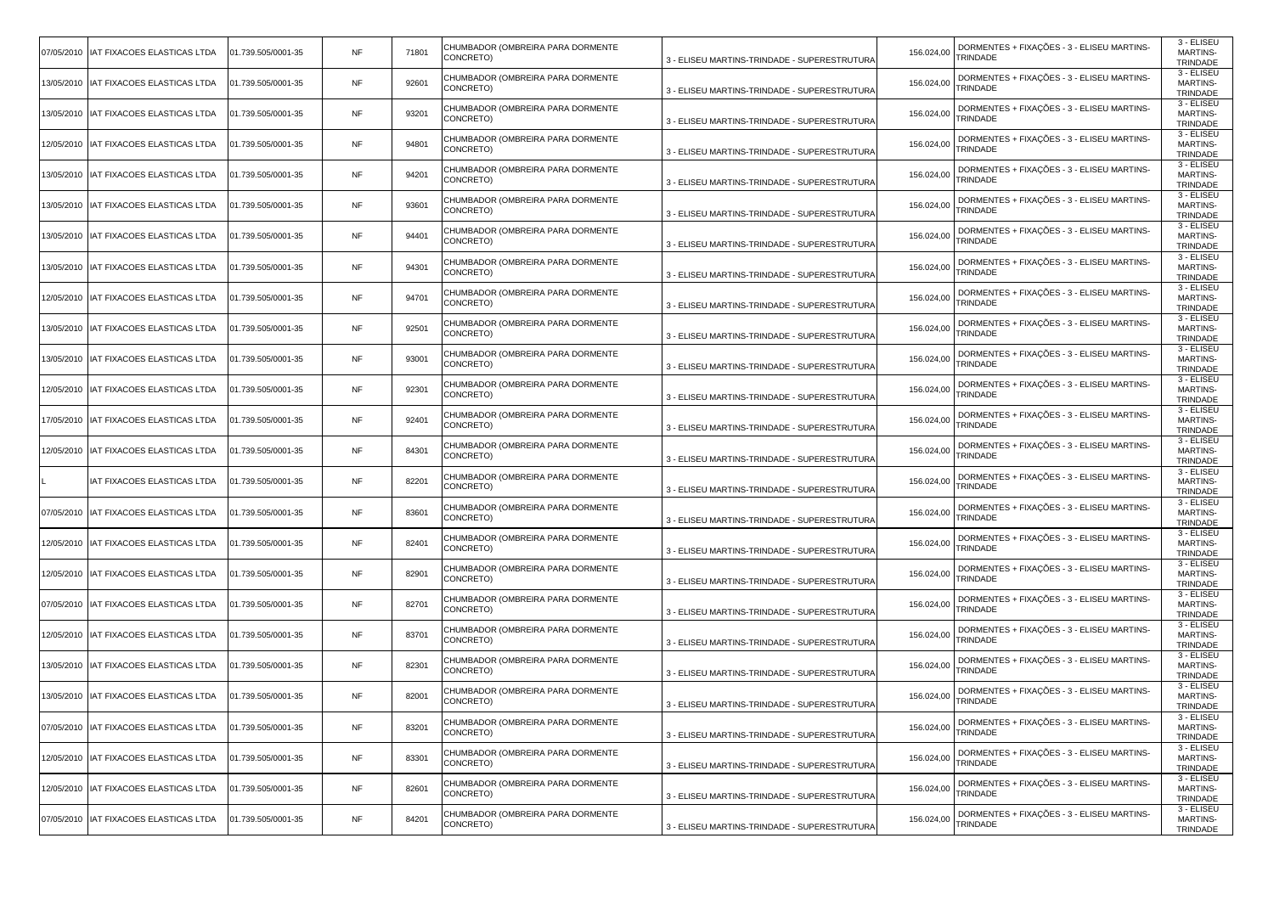| 07/05/2010   IAT FIXACOES ELASTICAS LTDA | 01.739.505/0001-35 | NF        | 71801 | CHUMBADOR (OMBREIRA PARA DORMENTE<br>CONCRETO) | 3 - ELISEU MARTINS-TRINDADE - SUPERESTRUTURA | 156.024,00 | DORMENTES + FIXAÇÕES - 3 - ELISEU MARTINS-<br>TRINDADE        | 3 - ELISEU<br><b>MARTINS-</b><br>TRINDADE |
|------------------------------------------|--------------------|-----------|-------|------------------------------------------------|----------------------------------------------|------------|---------------------------------------------------------------|-------------------------------------------|
| 13/05/2010 IAT FIXACOES ELASTICAS LTDA   | 01.739.505/0001-35 | NF        | 92601 | CHUMBADOR (OMBREIRA PARA DORMENTE<br>CONCRETO) | 3 - ELISEU MARTINS-TRINDADE - SUPERESTRUTURA | 156.024,00 | DORMENTES + FIXAÇÕES - 3 - ELISEU MARTINS-<br>TRINDADE        | 3 - ELISEU<br><b>MARTINS-</b><br>TRINDADE |
| 13/05/2010   IAT FIXACOES ELASTICAS LTDA | 01.739.505/0001-35 | <b>NF</b> | 93201 | CHUMBADOR (OMBREIRA PARA DORMENTE<br>CONCRETO) | 3 - ELISEU MARTINS-TRINDADE - SUPERESTRUTURA | 156.024,00 | DORMENTES + FIXAÇÕES - 3 - ELISEU MARTINS-<br>TRINDADE        | 3 - ELISEU<br>MARTINS-<br>TRINDADE        |
| 12/05/2010   IAT FIXACOES ELASTICAS LTDA | 01.739.505/0001-35 | NF        | 94801 | CHUMBADOR (OMBREIRA PARA DORMENTE<br>CONCRETO) | 3 - ELISEU MARTINS-TRINDADE - SUPERESTRUTURA | 156.024,00 | DORMENTES + FIXAÇÕES - 3 - ELISEU MARTINS-<br>TRINDADE        | 3 - ELISEU<br><b>MARTINS-</b><br>TRINDADE |
| 13/05/2010 IAT FIXACOES ELASTICAS LTDA   | 01.739.505/0001-35 | NF        | 94201 | CHUMBADOR (OMBREIRA PARA DORMENTE<br>CONCRETO) | 3 - ELISEU MARTINS-TRINDADE - SUPERESTRUTURA | 156.024,00 | DORMENTES + FIXAÇÕES - 3 - ELISEU MARTINS-<br>TRINDADE        | 3 - ELISEU<br><b>MARTINS-</b><br>TRINDADE |
| 13/05/2010   IAT FIXACOES ELASTICAS LTDA | 01.739.505/0001-35 | NF        | 93601 | CHUMBADOR (OMBREIRA PARA DORMENTE<br>CONCRETO) | 3 - ELISEU MARTINS-TRINDADE - SUPERESTRUTURA | 156.024,00 | DORMENTES + FIXAÇÕES - 3 - ELISEU MARTINS-<br>TRINDADE        | 3 - ELISEU<br><b>MARTINS-</b><br>TRINDADE |
| 13/05/2010   IAT FIXACOES ELASTICAS LTDA | 01.739.505/0001-35 | <b>NF</b> | 94401 | CHUMBADOR (OMBREIRA PARA DORMENTE<br>CONCRETO) | 3 - ELISEU MARTINS-TRINDADE - SUPERESTRUTURA | 156.024,00 | DORMENTES + FIXAÇÕES - 3 - ELISEU MARTINS-<br>TRINDADE        | 3 - ELISEU<br><b>MARTINS-</b><br>TRINDADE |
| 13/05/2010 IAT FIXACOES ELASTICAS LTDA   | 01.739.505/0001-35 | NF        | 94301 | CHUMBADOR (OMBREIRA PARA DORMENTE<br>CONCRETO) | 3 - ELISEU MARTINS-TRINDADE - SUPERESTRUTURA | 156.024,00 | DORMENTES + FIXAÇÕES - 3 - ELISEU MARTINS-<br>TRINDADE        | 3 - ELISEU<br><b>MARTINS-</b><br>TRINDADE |
| 12/05/2010   IAT FIXACOES ELASTICAS LTDA | 01.739.505/0001-35 | NF        | 94701 | CHUMBADOR (OMBREIRA PARA DORMENTE<br>CONCRETO) | 3 - ELISEU MARTINS-TRINDADE - SUPERESTRUTURA | 156.024,00 | DORMENTES + FIXAÇÕES - 3 - ELISEU MARTINS-<br>TRINDADE        | 3 - ELISEU<br><b>MARTINS-</b><br>TRINDADE |
| 13/05/2010   IAT FIXACOES ELASTICAS LTDA | 01.739.505/0001-35 | NF        | 92501 | CHUMBADOR (OMBREIRA PARA DORMENTE<br>CONCRETO) | 3 - ELISEU MARTINS-TRINDADE - SUPERESTRUTURA | 156.024,00 | DORMENTES + FIXAÇÕES - 3 - ELISEU MARTINS-<br>TRINDADE        | 3 - ELISEU<br><b>MARTINS-</b><br>TRINDADE |
| 13/05/2010   IAT FIXACOES ELASTICAS LTDA | 01.739.505/0001-35 | NF        | 93001 | CHUMBADOR (OMBREIRA PARA DORMENTE<br>CONCRETO) | 3 - ELISEU MARTINS-TRINDADE - SUPERESTRUTURA | 156.024,00 | DORMENTES + FIXAÇÕES - 3 - ELISEU MARTINS-<br>TRINDADE        | 3 - ELISEU<br><b>MARTINS-</b><br>TRINDADE |
| 12/05/2010   IAT FIXACOES ELASTICAS LTDA | 01.739.505/0001-35 | <b>NF</b> | 92301 | CHUMBADOR (OMBREIRA PARA DORMENTE<br>CONCRETO) | 3 - ELISEU MARTINS-TRINDADE - SUPERESTRUTURA | 156.024,00 | DORMENTES + FIXAÇÕES - 3 - ELISEU MARTINS-<br>TRINDADE        | 3 - ELISEU<br><b>MARTINS-</b><br>TRINDADE |
| 17/05/2010  IAT FIXACOES ELASTICAS LTDA  | 01.739.505/0001-35 | NF        | 92401 | CHUMBADOR (OMBREIRA PARA DORMENTE<br>CONCRETO) | 3 - ELISEU MARTINS-TRINDADE - SUPERESTRUTURA | 156.024,00 | DORMENTES + FIXAÇÕES - 3 - ELISEU MARTINS-<br>TRINDADE        | 3 - ELISEU<br><b>MARTINS-</b><br>TRINDADE |
| 12/05/2010   IAT FIXACOES ELASTICAS LTDA | 01.739.505/0001-35 | NF        | 84301 | CHUMBADOR (OMBREIRA PARA DORMENTE<br>CONCRETO) | 3 - ELISEU MARTINS-TRINDADE - SUPERESTRUTURA | 156.024,00 | DORMENTES + FIXAÇÕES - 3 - ELISEU MARTINS-<br>TRINDADE        | 3 - ELISEU<br><b>MARTINS-</b><br>TRINDADE |
| IAT FIXACOES ELASTICAS LTDA              | 01.739.505/0001-35 | NF        | 82201 | CHUMBADOR (OMBREIRA PARA DORMENTE<br>CONCRETO) | 3 - ELISEU MARTINS-TRINDADE - SUPERESTRUTURA | 156.024,00 | DORMENTES + FIXAÇÕES - 3 - ELISEU MARTINS-<br>TRINDADE        | 3 - ELISEU<br><b>MARTINS-</b><br>TRINDADE |
| 07/05/2010   IAT FIXACOES ELASTICAS LTDA | 01.739.505/0001-35 | <b>NF</b> | 83601 | CHUMBADOR (OMBREIRA PARA DORMENTE<br>CONCRETO) | 3 - ELISEU MARTINS-TRINDADE - SUPERESTRUTURA | 156.024,00 | DORMENTES + FIXAÇÕES - 3 - ELISEU MARTINS-<br>TRINDADE        | 3 - ELISEU<br><b>MARTINS-</b><br>TRINDADE |
| 12/05/2010   IAT FIXACOES ELASTICAS LTDA | 01.739.505/0001-35 | <b>NF</b> | 82401 | CHUMBADOR (OMBREIRA PARA DORMENTE<br>CONCRETO) | 3 - ELISEU MARTINS-TRINDADE - SUPERESTRUTURA | 156.024,00 | DORMENTES + FIXAÇÕES - 3 - ELISEU MARTINS-<br>TRINDADE        | 3 - ELISEU<br><b>MARTINS-</b><br>TRINDADE |
| 12/05/2010   IAT FIXACOES ELASTICAS LTDA | 01.739.505/0001-35 | NF        | 82901 | CHUMBADOR (OMBREIRA PARA DORMENTE<br>CONCRETO) | 3 - ELISEU MARTINS-TRINDADE - SUPERESTRUTURA | 156.024,00 | DORMENTES + FIXAÇÕES - 3 - ELISEU MARTINS-<br>TRINDADE        | 3 - ELISEU<br><b>MARTINS-</b><br>TRINDADE |
| 07/05/2010   IAT FIXACOES ELASTICAS LTDA | 01.739.505/0001-35 | <b>NF</b> | 82701 | CHUMBADOR (OMBREIRA PARA DORMENTE<br>CONCRETO) | 3 - ELISEU MARTINS-TRINDADE - SUPERESTRUTURA | 156.024,00 | DORMENTES + FIXAÇÕES - 3 - ELISEU MARTINS-<br>TRINDADE        | 3 - ELISEU<br><b>MARTINS-</b><br>TRINDADE |
| 12/05/2010   IAT FIXACOES ELASTICAS LTDA | 01.739.505/0001-35 | <b>NF</b> | 83701 | CHUMBADOR (OMBREIRA PARA DORMENTE<br>CONCRETO) | 3 - ELISEU MARTINS-TRINDADE - SUPERESTRUTURA | 156.024,00 | DORMENTES + FIXAÇÕES - 3 - ELISEU MARTINS-<br>TRINDADE        | 3 - ELISEU<br><b>MARTINS-</b><br>TRINDADE |
| 13/05/2010   IAT FIXACOES ELASTICAS LTDA | 01.739.505/0001-35 | NF        | 82301 | CHUMBADOR (OMBREIRA PARA DORMENTE<br>CONCRETO) | 3 - ELISEU MARTINS-TRINDADE - SUPERESTRUTURA | 156.024,00 | DORMENTES + FIXAÇÕES - 3 - ELISEU MARTINS-<br>TRINDADE        | 3 - ELISEU<br><b>MARTINS-</b><br>TRINDADE |
| 13/05/2010   IAT FIXACOES ELASTICAS LTDA | 01.739.505/0001-35 | <b>NF</b> | 82001 | CHUMBADOR (OMBREIRA PARA DORMENTE<br>CONCRETO) | 3 - ELISEU MARTINS-TRINDADE - SUPERESTRUTURA | 156.024,00 | DORMENTES + FIXAÇÕES - 3 - ELISEU MARTINS-<br>TRINDADE        | 3 - ELISEU<br><b>MARTINS-</b><br>TRINDADE |
| 07/05/2010   IAT FIXACOES ELASTICAS LTDA | 01.739.505/0001-35 | <b>NF</b> | 83201 | CHUMBADOR (OMBREIRA PARA DORMENTE<br>CONCRETO) | 3 - ELISEU MARTINS-TRINDADE - SUPERESTRUTURA | 156.024,00 | DORMENTES + FIXAÇÕES - 3 - ELISEU MARTINS-<br><b>TRINDADE</b> | 3 - ELISEU<br><b>MARTINS-</b><br>TRINDADE |
| 12/05/2010   IAT FIXACOES ELASTICAS LTDA | 01.739.505/0001-35 | <b>NF</b> | 83301 | CHUMBADOR (OMBREIRA PARA DORMENTE<br>CONCRETO) | 3 - ELISEU MARTINS-TRINDADE - SUPERESTRUTURA | 156.024,00 | DORMENTES + FIXAÇÕES - 3 - ELISEU MARTINS-<br>TRINDADE        | 3 - ELISEU<br>MARTINS-<br>TRINDADE        |
| 12/05/2010   IAT FIXACOES ELASTICAS LTDA | 01.739.505/0001-35 | <b>NF</b> | 82601 | CHUMBADOR (OMBREIRA PARA DORMENTE<br>CONCRETO) | 3 - ELISEU MARTINS-TRINDADE - SUPERESTRUTURA | 156.024,00 | DORMENTES + FIXAÇÕES - 3 - ELISEU MARTINS-<br><b>TRINDADE</b> | 3 - ELISEU<br><b>MARTINS-</b><br>TRINDADE |
| 07/05/2010   IAT FIXACOES ELASTICAS LTDA | 01.739.505/0001-35 | <b>NF</b> | 84201 | CHUMBADOR (OMBREIRA PARA DORMENTE<br>CONCRETO) | 3 - ELISEU MARTINS-TRINDADE - SUPERESTRUTURA | 156.024,00 | DORMENTES + FIXAÇÕES - 3 - ELISEU MARTINS-<br>TRINDADE        | 3 - ELISEU<br><b>MARTINS-</b><br>TRINDADE |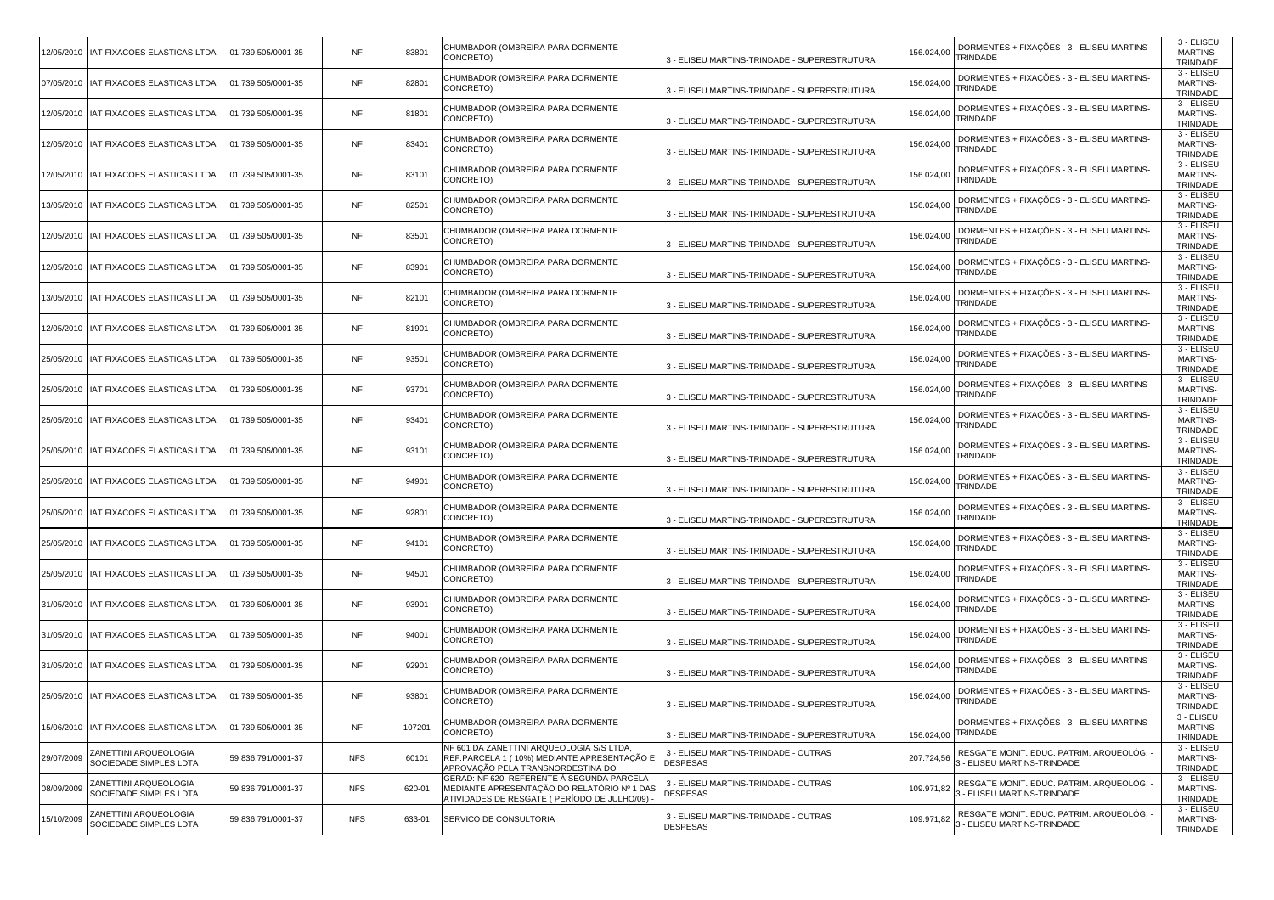|            | 12/05/2010 IAT FIXACOES ELASTICAS LTDA          | 01.739.505/0001-35 | NF         | 83801  | CHUMBADOR (OMBREIRA PARA DORMENTE<br>CONCRETO)                                                                                             | 3 - ELISEU MARTINS-TRINDADE - SUPERESTRUTURA            | 156.024,00 | DORMENTES + FIXAÇÕES - 3 - ELISEU MARTINS-<br>TRINDADE                    | 3 - ELISEU<br><b>MARTINS-</b><br>TRINDADE |
|------------|-------------------------------------------------|--------------------|------------|--------|--------------------------------------------------------------------------------------------------------------------------------------------|---------------------------------------------------------|------------|---------------------------------------------------------------------------|-------------------------------------------|
|            | 07/05/2010   IAT FIXACOES ELASTICAS LTDA        | 01.739.505/0001-35 | NF         | 82801  | CHUMBADOR (OMBREIRA PARA DORMENTE<br>CONCRETO)                                                                                             | 3 - ELISEU MARTINS-TRINDADE - SUPERESTRUTURA            | 156.024,00 | DORMENTES + FIXAÇÕES - 3 - ELISEU MARTINS-<br>TRINDADE                    | 3 - ELISEU<br><b>MARTINS-</b><br>TRINDADE |
|            | 12/05/2010   IAT FIXACOES ELASTICAS LTDA        | 01.739.505/0001-35 | <b>NF</b>  | 81801  | CHUMBADOR (OMBREIRA PARA DORMENTE<br>CONCRETO)                                                                                             | 3 - ELISEU MARTINS-TRINDADE - SUPERESTRUTURA            | 156.024,00 | DORMENTES + FIXAÇÕES - 3 - ELISEU MARTINS-<br>TRINDADE                    | 3 - ELISEU<br>MARTINS-<br>TRINDADE        |
|            | 12/05/2010   IAT FIXACOES ELASTICAS LTDA        | 01.739.505/0001-35 | NF         | 83401  | CHUMBADOR (OMBREIRA PARA DORMENTE<br>CONCRETO)                                                                                             | 3 - ELISEU MARTINS-TRINDADE - SUPERESTRUTURA            | 156.024,00 | DORMENTES + FIXAÇÕES - 3 - ELISEU MARTINS-<br>TRINDADE                    | 3 - ELISEU<br><b>MARTINS-</b><br>TRINDADE |
|            | 12/05/2010   IAT FIXACOES ELASTICAS LTDA        | 01.739.505/0001-35 | NF         | 83101  | CHUMBADOR (OMBREIRA PARA DORMENTE<br>CONCRETO)                                                                                             | 3 - ELISEU MARTINS-TRINDADE - SUPERESTRUTURA            | 156.024,00 | DORMENTES + FIXAÇÕES - 3 - ELISEU MARTINS-<br>TRINDADE                    | 3 - ELISEU<br><b>MARTINS-</b><br>TRINDADE |
|            | 13/05/2010   IAT FIXACOES ELASTICAS LTDA        | 01.739.505/0001-35 | NF         | 82501  | CHUMBADOR (OMBREIRA PARA DORMENTE<br>CONCRETO)                                                                                             | 3 - ELISEU MARTINS-TRINDADE - SUPERESTRUTURA            | 156.024,00 | DORMENTES + FIXAÇÕES - 3 - ELISEU MARTINS-<br>TRINDADE                    | 3 - ELISEU<br><b>MARTINS-</b><br>TRINDADE |
|            | 12/05/2010   IAT FIXACOES ELASTICAS LTDA        | 01.739.505/0001-35 | <b>NF</b>  | 83501  | CHUMBADOR (OMBREIRA PARA DORMENTE<br>CONCRETO)                                                                                             | 3 - ELISEU MARTINS-TRINDADE - SUPERESTRUTURA            | 156.024,00 | DORMENTES + FIXAÇÕES - 3 - ELISEU MARTINS-<br>TRINDADE                    | 3 - ELISEU<br><b>MARTINS-</b><br>TRINDADE |
|            | 12/05/2010   IAT FIXACOES ELASTICAS LTDA        | 01.739.505/0001-35 | NF         | 83901  | CHUMBADOR (OMBREIRA PARA DORMENTE<br>CONCRETO)                                                                                             | 3 - ELISEU MARTINS-TRINDADE - SUPERESTRUTURA            | 156.024,00 | DORMENTES + FIXAÇÕES - 3 - ELISEU MARTINS-<br>TRINDADE                    | 3 - ELISEU<br><b>MARTINS-</b><br>TRINDADE |
|            | 13/05/2010   IAT FIXACOES ELASTICAS LTDA        | 01.739.505/0001-35 | NF         | 82101  | CHUMBADOR (OMBREIRA PARA DORMENTE<br>CONCRETO)                                                                                             | 3 - ELISEU MARTINS-TRINDADE - SUPERESTRUTURA            | 156.024,00 | DORMENTES + FIXAÇÕES - 3 - ELISEU MARTINS-<br>TRINDADE                    | 3 - ELISEU<br><b>MARTINS-</b><br>TRINDADE |
|            | 12/05/2010   IAT FIXACOES ELASTICAS LTDA        | 01.739.505/0001-35 | NF         | 81901  | CHUMBADOR (OMBREIRA PARA DORMENTE<br>CONCRETO)                                                                                             | 3 - ELISEU MARTINS-TRINDADE - SUPERESTRUTURA            | 156.024,00 | DORMENTES + FIXAÇÕES - 3 - ELISEU MARTINS-<br>TRINDADE                    | 3 - ELISEU<br><b>MARTINS-</b><br>TRINDADE |
|            | 25/05/2010   IAT FIXACOES ELASTICAS LTDA        | 01.739.505/0001-35 | NF         | 93501  | CHUMBADOR (OMBREIRA PARA DORMENTE<br>CONCRETO)                                                                                             | 3 - ELISEU MARTINS-TRINDADE - SUPERESTRUTURA            | 156.024,00 | DORMENTES + FIXAÇÕES - 3 - ELISEU MARTINS-<br>TRINDADE                    | 3 - ELISEU<br><b>MARTINS-</b><br>TRINDADE |
|            | 25/05/2010   IAT FIXACOES ELASTICAS LTDA        | 01.739.505/0001-35 | <b>NF</b>  | 93701  | CHUMBADOR (OMBREIRA PARA DORMENTE<br>CONCRETO)                                                                                             | 3 - ELISEU MARTINS-TRINDADE - SUPERESTRUTURA            | 156.024,00 | DORMENTES + FIXAÇÕES - 3 - ELISEU MARTINS-<br>TRINDADE                    | 3 - ELISEU<br><b>MARTINS-</b><br>TRINDADE |
|            | 25/05/2010   IAT FIXACOES ELASTICAS LTDA        | 01.739.505/0001-35 | NF         | 93401  | CHUMBADOR (OMBREIRA PARA DORMENTE<br>CONCRETO)                                                                                             | 3 - ELISEU MARTINS-TRINDADE - SUPERESTRUTURA            | 156.024,00 | DORMENTES + FIXAÇÕES - 3 - ELISEU MARTINS-<br>TRINDADE                    | 3 - ELISEU<br><b>MARTINS-</b><br>TRINDADE |
|            | 25/05/2010   IAT FIXACOES ELASTICAS LTDA        | 01.739.505/0001-35 | NF         | 93101  | CHUMBADOR (OMBREIRA PARA DORMENTE<br>CONCRETO)                                                                                             | 3 - ELISEU MARTINS-TRINDADE - SUPERESTRUTURA            | 156.024,00 | DORMENTES + FIXAÇÕES - 3 - ELISEU MARTINS-<br>TRINDADE                    | 3 - ELISEU<br><b>MARTINS-</b><br>TRINDADE |
|            | 25/05/2010   IAT FIXACOES ELASTICAS LTDA        | 01.739.505/0001-35 | NF         | 94901  | CHUMBADOR (OMBREIRA PARA DORMENTE<br>CONCRETO)                                                                                             | 3 - ELISEU MARTINS-TRINDADE - SUPERESTRUTURA            | 156.024,00 | DORMENTES + FIXAÇÕES - 3 - ELISEU MARTINS-<br>TRINDADE                    | 3 - ELISEU<br><b>MARTINS-</b><br>TRINDADE |
|            | 25/05/2010   IAT FIXACOES ELASTICAS LTDA        | 01.739.505/0001-35 | <b>NF</b>  | 92801  | CHUMBADOR (OMBREIRA PARA DORMENTE<br>CONCRETO)                                                                                             | 3 - ELISEU MARTINS-TRINDADE - SUPERESTRUTURA            | 156.024,00 | DORMENTES + FIXAÇÕES - 3 - ELISEU MARTINS-<br>TRINDADE                    | 3 - ELISEU<br><b>MARTINS-</b><br>TRINDADE |
|            | 25/05/2010   IAT FIXACOES ELASTICAS LTDA        | 01.739.505/0001-35 | <b>NF</b>  | 94101  | CHUMBADOR (OMBREIRA PARA DORMENTE<br>CONCRETO)                                                                                             | 3 - ELISEU MARTINS-TRINDADE - SUPERESTRUTURA            | 156.024,00 | DORMENTES + FIXAÇÕES - 3 - ELISEU MARTINS-<br>TRINDADE                    | 3 - ELISEU<br><b>MARTINS-</b><br>TRINDADE |
|            | 25/05/2010   IAT FIXACOES ELASTICAS LTDA        | 01.739.505/0001-35 | NF         | 94501  | CHUMBADOR (OMBREIRA PARA DORMENTE<br>CONCRETO)                                                                                             | 3 - ELISEU MARTINS-TRINDADE - SUPERESTRUTURA            | 156.024,00 | DORMENTES + FIXAÇÕES - 3 - ELISEU MARTINS-<br>TRINDADE                    | 3 - ELISEU<br><b>MARTINS-</b><br>TRINDADE |
|            | 31/05/2010   IAT FIXACOES ELASTICAS LTDA        | 01.739.505/0001-35 | <b>NF</b>  | 93901  | CHUMBADOR (OMBREIRA PARA DORMENTE<br>CONCRETO)                                                                                             | 3 - ELISEU MARTINS-TRINDADE - SUPERESTRUTURA            | 156.024,00 | DORMENTES + FIXAÇÕES - 3 - ELISEU MARTINS-<br>TRINDADE                    | 3 - ELISEU<br><b>MARTINS-</b><br>TRINDADE |
|            | 31/05/2010   IAT FIXACOES ELASTICAS LTDA        | 01.739.505/0001-35 | <b>NF</b>  | 94001  | CHUMBADOR (OMBREIRA PARA DORMENTE<br>CONCRETO)                                                                                             | 3 - ELISEU MARTINS-TRINDADE - SUPERESTRUTURA            | 156.024,00 | DORMENTES + FIXAÇÕES - 3 - ELISEU MARTINS-<br>TRINDADE                    | 3 - ELISEU<br><b>MARTINS-</b><br>TRINDADE |
|            | 31/05/2010   IAT FIXACOES ELASTICAS LTDA        | 01.739.505/0001-35 | NF         | 92901  | CHUMBADOR (OMBREIRA PARA DORMENTE<br>CONCRETO)                                                                                             | 3 - ELISEU MARTINS-TRINDADE - SUPERESTRUTURA            | 156.024,00 | DORMENTES + FIXAÇÕES - 3 - ELISEU MARTINS-<br>TRINDADE                    | 3 - ELISEU<br><b>MARTINS-</b><br>TRINDADE |
|            | 25/05/2010   IAT FIXACOES ELASTICAS LTDA        | 01.739.505/0001-35 | <b>NF</b>  | 93801  | CHUMBADOR (OMBREIRA PARA DORMENTE<br>CONCRETO)                                                                                             | 3 - ELISEU MARTINS-TRINDADE - SUPERESTRUTURA            | 156.024,00 | DORMENTES + FIXAÇÕES - 3 - ELISEU MARTINS-<br>TRINDADE                    | 3 - ELISEU<br><b>MARTINS-</b><br>TRINDADE |
|            | 15/06/2010   IAT FIXACOES ELASTICAS LTDA        | 01.739.505/0001-35 | NF         | 107201 | CHUMBADOR (OMBREIRA PARA DORMENTE<br>CONCRETO)                                                                                             | 3 - ELISEU MARTINS-TRINDADE - SUPERESTRUTURA            |            | DORMENTES + FIXAÇÕES - 3 - ELISEU MARTINS-<br>156.024,00 TRINDADE         | 3 - ELISEU<br><b>MARTINS-</b><br>TRINDADE |
| 29/07/2009 | ZANETTINI ARQUEOLOGIA<br>SOCIEDADE SIMPLES LDTA | 59.836.791/0001-37 | <b>NFS</b> | 60101  | NF 601 DA ZANETTINI ARQUEOLOGIA S/S LTDA,<br>REF.PARCELA 1 ( 10%) MEDIANTE APRESENTAÇÃO E<br>APROVAÇÃO PELA TRANSNORDESTINA DO             | 3 - ELISEU MARTINS-TRINDADE - OUTRAS<br><b>DESPESAS</b> | 207.724,56 | RESGATE MONIT. EDUC. PATRIM. ARQUEOLÓG.<br>- ELISEU MARTINS-TRINDADE      | 3 - ELISEU<br>MARTINS-<br>TRINDADE        |
| 08/09/2009 | ZANETTINI ARQUEOLOGIA<br>SOCIEDADE SIMPLES LDTA | 59.836.791/0001-37 | <b>NFS</b> | 620-01 | GERAD: NF 620, REFERENTE À SEGUNDA PARCELA<br>MEDIANTE APRESENTAÇÃO DO RELATÓRIO № 1 DAS<br>ATIVIDADES DE RESGATE ( PERÍODO DE JULHO/09) - | 3 - ELISEU MARTINS-TRINDADE - OUTRAS<br><b>DESPESAS</b> | 109.971,82 | RESGATE MONIT. EDUC. PATRIM. ARQUEOLÓG.<br><b>ELISEU MARTINS-TRINDADE</b> | 3 - ELISEU<br><b>MARTINS-</b><br>TRINDADE |
| 15/10/2009 | ZANETTINI ARQUEOLOGIA<br>SOCIEDADE SIMPLES LDTA | 59.836.791/0001-37 | <b>NFS</b> | 633-01 | SERVICO DE CONSULTORIA                                                                                                                     | 3 - ELISEU MARTINS-TRINDADE - OUTRAS<br><b>DESPESAS</b> | 109.971,82 | RESGATE MONIT. EDUC. PATRIM. ARQUEOLÓG. ·<br>3 - ELISEU MARTINS-TRINDADE  | 3 - ELISEU<br><b>MARTINS-</b><br>TRINDADE |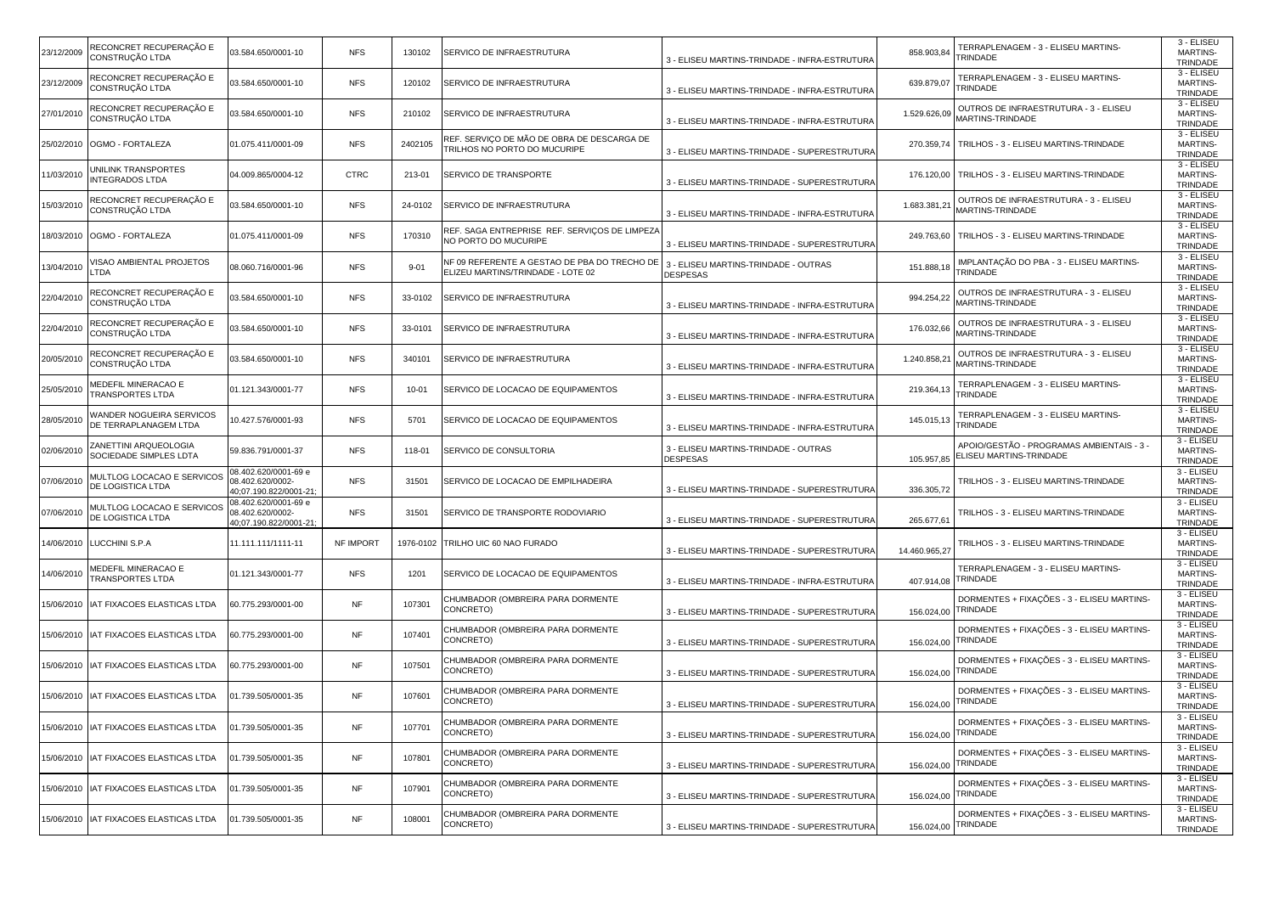| 23/12/2009 | RECONCRET RECUPERAÇÃO E<br>CONSTRUÇÃO LTDA                   | 03.584.650/0001-10                                                | <b>NFS</b>  | 130102    | SERVICO DE INFRAESTRUTURA                                                         | 3 - ELISEU MARTINS-TRINDADE - INFRA-ESTRUTURA           | 858.903,84    | TERRAPLENAGEM - 3 - ELISEU MARTINS-<br>TRINDADE                      | 3 - ELISEU<br><b>MARTINS-</b><br>TRINDADE   |
|------------|--------------------------------------------------------------|-------------------------------------------------------------------|-------------|-----------|-----------------------------------------------------------------------------------|---------------------------------------------------------|---------------|----------------------------------------------------------------------|---------------------------------------------|
| 23/12/2009 | RECONCRET RECUPERAÇÃO E<br>CONSTRUÇÃO LTDA                   | 03.584.650/0001-10                                                | <b>NFS</b>  | 120102    | SERVICO DE INFRAESTRUTURA                                                         | 3 - ELISEU MARTINS-TRINDADE - INFRA-ESTRUTURA           | 639.879,07    | TERRAPLENAGEM - 3 - ELISEU MARTINS-<br><b><i>FRINDADE</i></b>        | 3 - ELISEU<br><b>MARTINS-</b><br>TRINDADE   |
| 27/01/2010 | RECONCRET RECUPERAÇÃO E<br>CONSTRUÇÃO LTDA                   | 03.584.650/0001-10                                                | <b>NFS</b>  | 210102    | SERVICO DE INFRAESTRUTURA                                                         | 3 - ELISEU MARTINS-TRINDADE - INFRA-ESTRUTURA           | 1.529.626,09  | OUTROS DE INFRAESTRUTURA - 3 - ELISEU<br>MARTINS-TRINDADE            | 3 - ELISEU<br><b>MARTINS-</b><br>TRINDADE   |
| 25/02/2010 | OGMO - FORTALEZA                                             | 01.075.411/0001-09                                                | <b>NFS</b>  | 2402105   | REF. SERVIÇO DE MÃO DE OBRA DE DESCARGA DE<br>TRILHOS NO PORTO DO MUCURIPE        | 3 - ELISEU MARTINS-TRINDADE - SUPERESTRUTURA            | 270.359,74    | TRILHOS - 3 - ELISEU MARTINS-TRINDADE                                | 3 - ELISEU<br><b>MARTINS-</b><br>TRINDADE   |
| 1/03/2010  | JNILINK TRANSPORTES<br><b>INTEGRADOS LTDA</b>                | 04.009.865/0004-12                                                | <b>CTRC</b> | 213-01    | SERVICO DE TRANSPORTE                                                             | 3 - ELISEU MARTINS-TRINDADE - SUPERESTRUTURA            | 176.120,00    | TRILHOS - 3 - ELISEU MARTINS-TRINDADE                                | 3 - ELISEU<br><b>MARTINS-</b><br>TRINDADE   |
| 15/03/2010 | RECONCRET RECUPERAÇÃO E<br>CONSTRUÇÃO LTDA                   | 03.584.650/0001-10                                                | <b>NFS</b>  | 24-0102   | SERVICO DE INFRAESTRUTURA                                                         | 3 - ELISEU MARTINS-TRINDADE - INFRA-ESTRUTURA           | 1.683.381,21  | OUTROS DE INFRAESTRUTURA - 3 - ELISEU<br>MARTINS-TRINDADE            | 3 - ELISEU<br><b>MARTINS-</b><br>TRINDADE   |
| 8/03/2010  | OGMO - FORTALEZA                                             | 01.075.411/0001-09                                                | <b>NFS</b>  | 170310    | REF. SAGA ENTREPRISE REF. SERVIÇOS DE LIMPEZA<br>NO PORTO DO MUCURIPE             | 3 - ELISEU MARTINS-TRINDADE - SUPERESTRUTURA            | 249.763,60    | TRILHOS - 3 - ELISEU MARTINS-TRINDADE                                | 3 - ELISEU<br><b>MARTINS-</b><br>TRINDADE   |
| 3/04/2010  | /ISAO AMBIENTAL PROJETOS<br>_TDA                             | 08.060.716/0001-96                                                | <b>NFS</b>  | $9 - 01$  | NF 09 REFERENTE A GESTAO DE PBA DO TRECHO DE<br>ELIZEU MARTINS/TRINDADE - LOTE 02 | 3 - ELISEU MARTINS-TRINDADE - OUTRAS<br><b>DESPESAS</b> | 151.888,18    | IMPLANTAÇÃO DO PBA - 3 - ELISEU MARTINS-<br>TRINDADE                 | 3 - ELISEU<br><b>MARTINS-</b><br>TRINDADE   |
| 22/04/2010 | RECONCRET RECUPERAÇÃO E<br>CONSTRUÇÃO LTDA                   | 03.584.650/0001-10                                                | <b>NFS</b>  | 33-0102   | SERVICO DE INFRAESTRUTURA                                                         | 3 - ELISEU MARTINS-TRINDADE - INFRA-ESTRUTURA           | 994.254,22    | OUTROS DE INFRAESTRUTURA - 3 - ELISEU<br>MARTINS-TRINDADE            | 3 - ELISEU<br><b>MARTINS-</b><br>TRINDADE   |
| 22/04/2010 | RECONCRET RECUPERAÇÃO E<br>CONSTRUÇÃO LTDA                   | 03.584.650/0001-10                                                | <b>NFS</b>  | 33-0101   | SERVICO DE INFRAESTRUTURA                                                         | 3 - ELISEU MARTINS-TRINDADE - INFRA-ESTRUTURA           | 176.032,66    | OUTROS DE INFRAESTRUTURA - 3 - ELISEU<br>MARTINS-TRINDADE            | 3 - ELISEU<br><b>MARTINS-</b><br>TRINDADE   |
| 20/05/2010 | RECONCRET RECUPERAÇÃO E<br>CONSTRUÇÃO LTDA                   | 03.584.650/0001-10                                                | <b>NFS</b>  | 340101    | SERVICO DE INFRAESTRUTURA                                                         | 3 - ELISEU MARTINS-TRINDADE - INFRA-ESTRUTURA           | 1.240.858,21  | OUTROS DE INFRAESTRUTURA - 3 - ELISEU<br>MARTINS-TRINDADE            | 3 - ELISEU<br><b>MARTINS-</b><br>TRINDADE   |
| 25/05/2010 | MEDEFIL MINERACAO E<br><b>TRANSPORTES LTDA</b>               | 01.121.343/0001-77                                                | <b>NFS</b>  | $10 - 01$ | SERVICO DE LOCACAO DE EQUIPAMENTOS                                                | 3 - ELISEU MARTINS-TRINDADE - INFRA-ESTRUTURA           | 219.364,13    | TERRAPLENAGEM - 3 - ELISEU MARTINS-<br><b><i>FRINDADE</i></b>        | 3 - ELISEU<br><b>MARTINS-</b><br>TRINDADE   |
| 28/05/2010 | WANDER NOGUEIRA SERVICOS<br>DE TERRAPLANAGEM LTDA            | 10.427.576/0001-93                                                | <b>NFS</b>  | 5701      | SERVICO DE LOCACAO DE EQUIPAMENTOS                                                | 3 - ELISEU MARTINS-TRINDADE - INFRA-ESTRUTURA           | 145.015,13    | TERRAPLENAGEM - 3 - ELISEU MARTINS-<br>TRINDADE                      | 3 - ELISEU<br><b>MARTINS-</b><br>TRINDADE   |
| 02/06/2010 | ZANETTINI ARQUEOLOGIA<br>SOCIEDADE SIMPLES LDTA              | 59.836.791/0001-37                                                | <b>NFS</b>  | 118-01    | SERVICO DE CONSULTORIA                                                            | 3 - ELISEU MARTINS-TRINDADE - OUTRAS<br><b>DESPESAS</b> | 105.957,85    | APOIO/GESTÃO - PROGRAMAS AMBIENTAIS - 3 -<br>ELISEU MARTINS-TRINDADE | 3 - ELISEU<br><b>MARTINS-</b><br>TRINDADE   |
| 07/06/2010 | MULTLOG LOCACAO E SERVICOS<br>DE LOGISTICA LTDA              | 08.402.620/0001-69 e<br>08.402.620/0002-<br>40;07.190.822/0001-21 | <b>NFS</b>  | 31501     | SERVICO DE LOCACAO DE EMPILHADEIRA                                                | 3 - ELISEU MARTINS-TRINDADE - SUPERESTRUTURA            | 336.305,72    | TRILHOS - 3 - ELISEU MARTINS-TRINDADE                                | 3 - ELISEU<br><b>MARTINS-</b><br>TRINDADE   |
| 07/06/2010 | MULTLOG LOCACAO E SERVICOS<br>DE LOGISTICA LTDA              | 08.402.620/0001-69 e<br>08.402.620/0002-<br>40:07.190.822/0001-21 | <b>NFS</b>  | 31501     | SERVICO DE TRANSPORTE RODOVIARIO                                                  | 3 - ELISEU MARTINS-TRINDADE - SUPERESTRUTURA            | 265.677,61    | TRILHOS - 3 - ELISEU MARTINS-TRINDADE                                | 3 - ELISEU<br><b>MARTINS-</b><br>TRINDADE   |
| 4/06/2010  | LUCCHINI S.P.A                                               | 11.111.111/1111-11                                                | NF IMPORT   | 1976-0102 | TRILHO UIC 60 NAO FURADO                                                          | 3 - ELISEU MARTINS-TRINDADE - SUPERESTRUTURA            | 14.460.965,27 | TRILHOS - 3 - ELISEU MARTINS-TRINDADE                                | 3 - ELISEU<br><b>MARTINS-</b><br>TRINDADE   |
| 4/06/2010  | <b><i>MEDEFIL MINERACAO E</i></b><br><b>TRANSPORTES LTDA</b> | 01.121.343/0001-77                                                | <b>NFS</b>  | 1201      | SERVICO DE LOCACAO DE EQUIPAMENTOS                                                | 3 - ELISEU MARTINS-TRINDADE - INFRA-ESTRUTURA           | 407.914,08    | TERRAPLENAGEM - 3 - ELISEU MARTINS-<br>TRINDADE                      | 3 - ELISEU<br><b>MARTINS-</b><br>TRINDADE   |
| 15/06/2010 | IAT FIXACOES ELASTICAS LTDA                                  | 60.775.293/0001-00                                                | <b>NF</b>   | 107301    | CHUMBADOR (OMBREIRA PARA DORMENTE<br>CONCRETO)                                    | 3 - ELISEU MARTINS-TRINDADE - SUPERESTRUTURA            | 156.024,00    | DORMENTES + FIXAÇÕES - 3 - ELISEU MARTINS-<br><b><i>FRINDADE</i></b> | 3 - ELISEU<br><b>MARTINS-</b><br>TRINDADE   |
| 5/06/2010  | AT FIXACOES ELASTICAS LTDA                                   | 60.775.293/0001-00                                                | NF          | 107401    | CHUMBADOR (OMBREIRA PARA DORMENTE<br>CONCRETO)                                    | 3 - ELISEU MARTINS-TRINDADE - SUPERESTRUTURA            | 156.024,00    | DORMENTES + FIXAÇÕES - 3 - ELISEU MARTINS-<br>TRINDADE               | 3 - ELISEU<br><b>MARTINS-</b><br>TRINDADE   |
| 5/06/2010  | IAT FIXACOES ELASTICAS LTDA                                  | 60.775.293/0001-00                                                | <b>NF</b>   | 107501    | CHUMBADOR (OMBREIRA PARA DORMENTE<br>CONCRETO)                                    | 3 - ELISEU MARTINS-TRINDADE - SUPERESTRUTURA            | 156.024,00    | DORMENTES + FIXAÇÕES - 3 - ELISEU MARTINS-<br>TRINDADE               | 3 - ELISEU<br><b>MARTINS-</b><br>TRINDADE   |
|            | 15/06/2010   IAT FIXACOES ELASTICAS LTDA                     | 01.739.505/0001-35                                                | <b>NF</b>   | 107601    | CHUMBADOR (OMBREIRA PARA DORMENTE<br>CONCRETO)                                    | 3 - ELISEU MARTINS-TRINDADE - SUPERESTRUTURA            | 156.024,00    | DORMENTES + FIXAÇÕES - 3 - ELISEU MARTINS-<br>TRINDADE               | $3 - ELISEU$<br><b>MARTINS-</b><br>TRINDADE |
|            | 15/06/2010 IAT FIXACOES ELASTICAS LTDA                       | 01.739.505/0001-35                                                | <b>NF</b>   | 107701    | CHUMBADOR (OMBREIRA PARA DORMENTE<br>CONCRETO)                                    | 3 - ELISEU MARTINS-TRINDADE - SUPERESTRUTURA            | 156.024,00    | DORMENTES + FIXAÇÕES - 3 - ELISEU MARTINS-<br>TRINDADE               | 3 - ELISEU<br><b>MARTINS-</b><br>TRINDADE   |
| 5/06/2010  | IAT FIXACOES ELASTICAS LTDA                                  | 01.739.505/0001-35                                                | <b>NF</b>   | 107801    | CHUMBADOR (OMBREIRA PARA DORMENTE<br>CONCRETO)                                    | 3 - ELISEU MARTINS-TRINDADE - SUPERESTRUTURA            | 156.024,00    | DORMENTES + FIXAÇÕES - 3 - ELISEU MARTINS-<br>TRINDADE               | 3 - ELISEU<br>MARTINS-<br>TRINDADE          |
| 5/06/2010  | IAT FIXACOES ELASTICAS LTDA                                  | 01.739.505/0001-35                                                | <b>NF</b>   | 107901    | CHUMBADOR (OMBREIRA PARA DORMENTE<br>CONCRETO)                                    | 3 - ELISEU MARTINS-TRINDADE - SUPERESTRUTURA            | 156.024,00    | DORMENTES + FIXAÇÕES - 3 - ELISEU MARTINS-<br>TRINDADE               | 3 - ELISEU<br><b>MARTINS-</b><br>TRINDADE   |
| 5/06/2010  | IAT FIXACOES ELASTICAS LTDA                                  | 01.739.505/0001-35                                                | <b>NF</b>   | 108001    | CHUMBADOR (OMBREIRA PARA DORMENTE<br>CONCRETO)                                    | 3 - ELISEU MARTINS-TRINDADE - SUPERESTRUTURA            | 156.024,00    | DORMENTES + FIXAÇÕES - 3 - ELISEU MARTINS-<br>TRINDADE               | 3 - ELISEU<br><b>MARTINS-</b><br>TRINDADE   |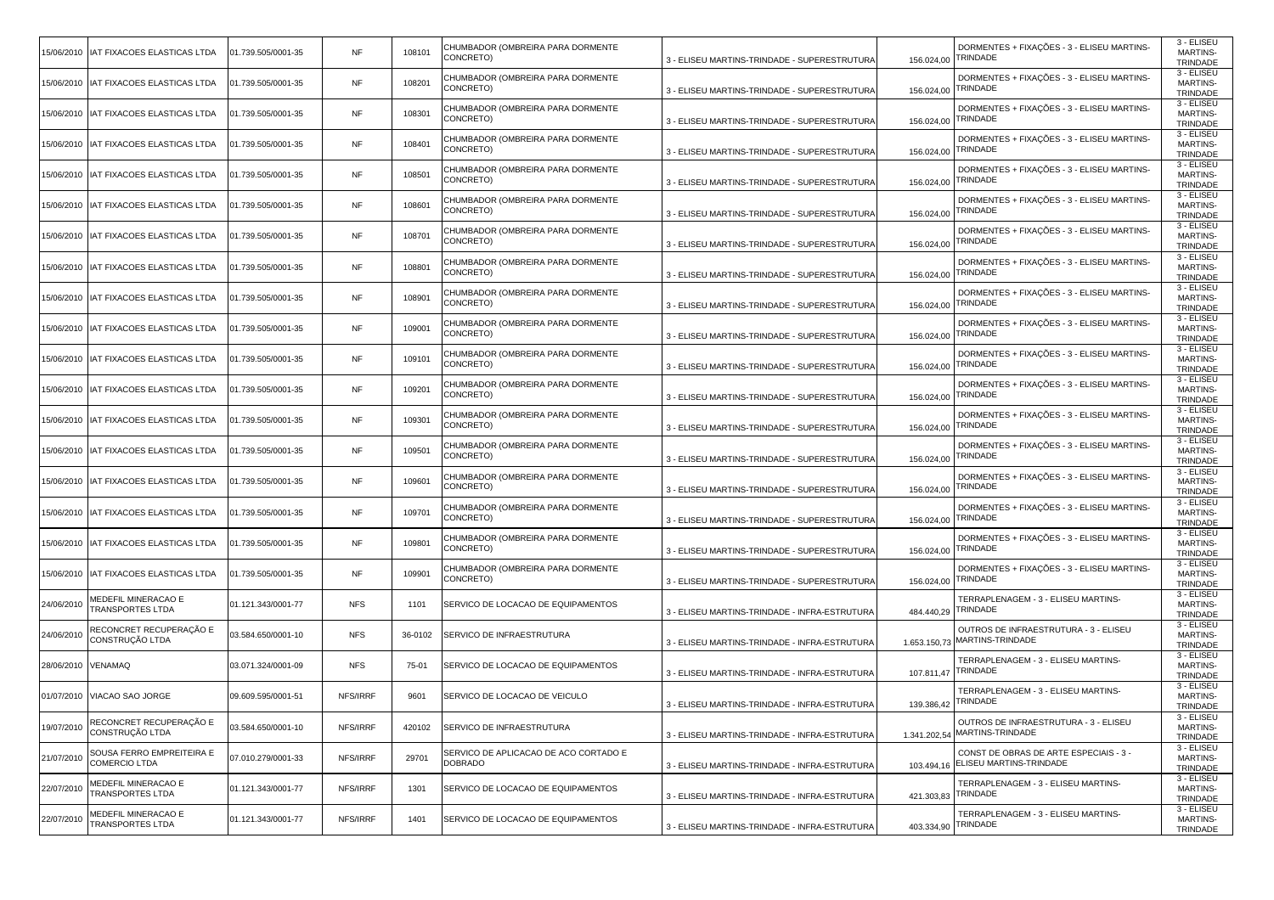| 5/06/2010          | IAT FIXACOES ELASTICAS LTDA                   | 01.739.505/0001-35 | NF         | 108101  | CHUMBADOR (OMBREIRA PARA DORMENTE<br>CONCRETO)   | 3 - ELISEU MARTINS-TRINDADE - SUPERESTRUTURA  | 156.024,00   | DORMENTES + FIXAÇÕES - 3 - ELISEU MARTINS-<br>TRINDADE               | 3 - ELISEU<br><b>MARTINS-</b><br>TRINDADE |
|--------------------|-----------------------------------------------|--------------------|------------|---------|--------------------------------------------------|-----------------------------------------------|--------------|----------------------------------------------------------------------|-------------------------------------------|
|                    | 5/06/2010   IAT FIXACOES ELASTICAS LTDA       | 01.739.505/0001-35 | NF         | 108201  | CHUMBADOR (OMBREIRA PARA DORMENTE<br>CONCRETO)   | 3 - ELISEU MARTINS-TRINDADE - SUPERESTRUTURA  | 156.024,00   | DORMENTES + FIXAÇÕES - 3 - ELISEU MARTINS-<br>TRINDADE               | 3 - ELISEU<br><b>MARTINS-</b><br>TRINDADE |
| 5/06/2010          | IAT FIXACOES ELASTICAS LTDA                   | 01.739.505/0001-35 | <b>NF</b>  | 108301  | CHUMBADOR (OMBREIRA PARA DORMENTE<br>CONCRETO)   | 3 - ELISEU MARTINS-TRINDADE - SUPERESTRUTURA  | 156.024,00   | DORMENTES + FIXAÇÕES - 3 - ELISEU MARTINS-<br>RINDADE                | 3 - ELISEU<br>MARTINS-<br>TRINDADE        |
| 5/06/2010          | IAT FIXACOES ELASTICAS LTDA                   | 01.739.505/0001-35 | <b>NF</b>  | 108401  | CHUMBADOR (OMBREIRA PARA DORMENTE<br>CONCRETO)   | 3 - ELISEU MARTINS-TRINDADE - SUPERESTRUTURA  | 156.024,00   | DORMENTES + FIXAÇÕES - 3 - ELISEU MARTINS-<br>TRINDADE               | 3 - ELISEU<br><b>MARTINS-</b><br>TRINDADE |
| 5/06/2010          | IAT FIXACOES ELASTICAS LTDA                   | 01.739.505/0001-35 | NF         | 108501  | CHUMBADOR (OMBREIRA PARA DORMENTE<br>CONCRETO)   | 3 - ELISEU MARTINS-TRINDADE - SUPERESTRUTURA  | 156.024,00   | DORMENTES + FIXAÇÕES - 3 - ELISEU MARTINS-<br>TRINDADE               | 3 - ELISEU<br><b>MARTINS-</b><br>TRINDADE |
|                    | 5/06/2010   IAT FIXACOES ELASTICAS LTDA       | 01.739.505/0001-35 | NF         | 108601  | CHUMBADOR (OMBREIRA PARA DORMENTE<br>CONCRETO)   | 3 - ELISEU MARTINS-TRINDADE - SUPERESTRUTURA  | 156.024,00   | DORMENTES + FIXAÇÕES - 3 - ELISEU MARTINS-<br>TRINDADE               | 3 - ELISEU<br><b>MARTINS-</b><br>TRINDADE |
|                    | 5/06/2010   IAT FIXACOES ELASTICAS LTDA       | 01.739.505/0001-35 | <b>NF</b>  | 108701  | CHUMBADOR (OMBREIRA PARA DORMENTE<br>CONCRETO)   | 3 - ELISEU MARTINS-TRINDADE - SUPERESTRUTURA  | 156.024,00   | DORMENTES + FIXAÇÕES - 3 - ELISEU MARTINS-<br>TRINDADE               | 3 - ELISEU<br><b>MARTINS-</b><br>TRINDADE |
| 5/06/2010          | IAT FIXACOES ELASTICAS LTDA                   | 01.739.505/0001-35 | <b>NF</b>  | 108801  | CHUMBADOR (OMBREIRA PARA DORMENTE<br>CONCRETO)   | 3 - ELISEU MARTINS-TRINDADE - SUPERESTRUTURA  | 156.024,00   | DORMENTES + FIXAÇÕES - 3 - ELISEU MARTINS-<br><b><i>FRINDADE</i></b> | 3 - ELISEU<br><b>MARTINS-</b><br>TRINDADE |
|                    | 5/06/2010   IAT FIXACOES ELASTICAS LTDA       | 01.739.505/0001-35 | NF         | 108901  | CHUMBADOR (OMBREIRA PARA DORMENTE<br>CONCRETO)   | 3 - ELISEU MARTINS-TRINDADE - SUPERESTRUTURA  | 156.024,00   | DORMENTES + FIXAÇÕES - 3 - ELISEU MARTINS-<br>TRINDADE               | 3 - ELISEU<br><b>MARTINS-</b><br>TRINDADE |
| 5/06/2010          | IAT FIXACOES ELASTICAS LTDA                   | 01.739.505/0001-35 | NF         | 109001  | CHUMBADOR (OMBREIRA PARA DORMENTE<br>CONCRETO)   | 3 - ELISEU MARTINS-TRINDADE - SUPERESTRUTURA  | 156.024,00   | DORMENTES + FIXAÇÕES - 3 - ELISEU MARTINS-<br>TRINDADE               | 3 - ELISEU<br><b>MARTINS-</b><br>TRINDADE |
| 5/06/2010          | IAT FIXACOES ELASTICAS LTDA                   | 01.739.505/0001-35 | NF         | 109101  | CHUMBADOR (OMBREIRA PARA DORMENTE<br>CONCRETO)   | 3 - ELISEU MARTINS-TRINDADE - SUPERESTRUTURA  | 156.024,00   | DORMENTES + FIXAÇÕES - 3 - ELISEU MARTINS-<br>TRINDADE               | 3 - ELISEU<br><b>MARTINS-</b><br>TRINDADE |
|                    | 5/06/2010   IAT FIXACOES ELASTICAS LTDA       | 01.739.505/0001-35 | <b>NF</b>  | 109201  | CHUMBADOR (OMBREIRA PARA DORMENTE<br>CONCRETO)   | 3 - ELISEU MARTINS-TRINDADE - SUPERESTRUTURA  | 156.024,00   | DORMENTES + FIXAÇÕES - 3 - ELISEU MARTINS-<br>TRINDADE               | 3 - ELISEU<br><b>MARTINS-</b><br>TRINDADE |
| 5/06/2010          | IAT FIXACOES ELASTICAS LTDA                   | 01.739.505/0001-35 | NF         | 109301  | CHUMBADOR (OMBREIRA PARA DORMENTE<br>CONCRETO)   | 3 - ELISEU MARTINS-TRINDADE - SUPERESTRUTURA  | 156.024,00   | DORMENTES + FIXAÇÕES - 3 - ELISEU MARTINS-<br>TRINDADE               | 3 - ELISEU<br><b>MARTINS-</b><br>TRINDADE |
| 5/06/2010          | IAT FIXACOES ELASTICAS LTDA                   | 01.739.505/0001-35 | <b>NF</b>  | 109501  | CHUMBADOR (OMBREIRA PARA DORMENTE<br>CONCRETO)   | 3 - ELISEU MARTINS-TRINDADE - SUPERESTRUTURA  | 156.024,00   | DORMENTES + FIXAÇÕES - 3 - ELISEU MARTINS-<br>TRINDADE               | 3 - ELISEU<br><b>MARTINS-</b><br>TRINDADE |
|                    | 5/06/2010   IAT FIXACOES ELASTICAS LTDA       | 01.739.505/0001-35 | NF         | 109601  | CHUMBADOR (OMBREIRA PARA DORMENTE<br>CONCRETO)   | 3 - ELISEU MARTINS-TRINDADE - SUPERESTRUTURA  | 156.024,00   | DORMENTES + FIXAÇÕES - 3 - ELISEU MARTINS-<br>TRINDADE               | 3 - ELISEU<br><b>MARTINS-</b><br>TRINDADE |
| 5/06/2010          | IAT FIXACOES ELASTICAS LTDA                   | 01.739.505/0001-35 | <b>NF</b>  | 109701  | CHUMBADOR (OMBREIRA PARA DORMENTE<br>CONCRETO)   | 3 - ELISEU MARTINS-TRINDADE - SUPERESTRUTURA  | 156.024,00   | DORMENTES + FIXAÇÕES - 3 - ELISEU MARTINS-<br><b><i>FRINDADE</i></b> | 3 - ELISEU<br><b>MARTINS-</b><br>TRINDADE |
| 5/06/2010          | IAT FIXACOES ELASTICAS LTDA                   | 01.739.505/0001-35 | NF         | 109801  | CHUMBADOR (OMBREIRA PARA DORMENTE<br>CONCRETO)   | 3 - ELISEU MARTINS-TRINDADE - SUPERESTRUTURA  | 156.024,00   | DORMENTES + FIXAÇÕES - 3 - ELISEU MARTINS-<br>TRINDADE               | 3 - ELISEU<br><b>MARTINS-</b><br>TRINDADE |
|                    | 5/06/2010   IAT FIXACOES ELASTICAS LTDA       | 01.739.505/0001-35 | NF         | 109901  | CHUMBADOR (OMBREIRA PARA DORMENTE<br>CONCRETO)   | 3 - ELISEU MARTINS-TRINDADE - SUPERESTRUTURA  | 156.024,00   | DORMENTES + FIXAÇÕES - 3 - ELISEU MARTINS-<br>TRINDADE               | 3 - ELISEU<br><b>MARTINS-</b><br>TRINDADE |
| 24/06/2010         | MEDEFIL MINERACAO E<br>TRANSPORTES LTDA       | 01.121.343/0001-77 | <b>NFS</b> | 1101    | SERVICO DE LOCACAO DE EQUIPAMENTOS               | 3 - ELISEU MARTINS-TRINDADE - INFRA-ESTRUTURA | 484.440,29   | TERRAPLENAGEM - 3 - ELISEU MARTINS-<br>TRINDADE                      | 3 - ELISEU<br><b>MARTINS-</b><br>TRINDADE |
| 24/06/201          | RECONCRET RECUPERAÇÃO E<br>CONSTRUÇÃO LTDA    | 03.584.650/0001-10 | <b>NFS</b> | 36-0102 | SERVICO DE INFRAESTRUTURA                        | 3 - ELISEU MARTINS-TRINDADE - INFRA-ESTRUTURA | 1.653.150,73 | OUTROS DE INFRAESTRUTURA - 3 - ELISEU<br>MARTINS-TRINDADE            | 3 - ELISEU<br><b>MARTINS-</b><br>TRINDADE |
| 28/06/2010 VENAMAQ |                                               | 03.071.324/0001-09 | <b>NFS</b> | 75-01   | SERVICO DE LOCACAO DE EQUIPAMENTOS               | 3 - ELISEU MARTINS-TRINDADE - INFRA-ESTRUTURA | 107.811,47   | TERRAPLENAGEM - 3 - ELISEU MARTINS-<br><b><i>FRINDADE</i></b>        | 3 - ELISEU<br><b>MARTINS-</b><br>TRINDADE |
|                    | 01/07/2010 VIACAO SAO JORGE                   | 09.609.595/0001-51 | NFS/IRRF   | 9601    | SERVICO DE LOCACAO DE VEICULO                    | 3 - ELISEU MARTINS-TRINDADE - INFRA-ESTRUTURA | 139.386,42   | TERRAPLENAGEM - 3 - ELISEU MARTINS-<br>TRINDADE                      | 3 - ELISEU<br><b>MARTINS-</b><br>TRINDADE |
| 19/07/2010         | RECONCRET RECUPERAÇÃO E<br>CONSTRUÇÃO LTDA    | 03.584.650/0001-10 | NFS/IRRF   | 420102  | SERVICO DE INFRAESTRUTURA                        | 3 - ELISEU MARTINS-TRINDADE - INFRA-ESTRUTURA | 1.341.202,54 | OUTROS DE INFRAESTRUTURA - 3 - ELISEU<br>MARTINS-TRINDADE            | 3 - ELISEU<br><b>MARTINS-</b><br>TRINDADE |
| 21/07/2010         | SOUSA FERRO EMPREITEIRA E<br>COMERCIO LTDA    | 07.010.279/0001-33 | NFS/IRRF   | 29701   | SERVICO DE APLICACAO DE ACO CORTADO E<br>DOBRADO | 3 - ELISEU MARTINS-TRINDADE - INFRA-ESTRUTURA | 103.494,16   | CONST DE OBRAS DE ARTE ESPECIAIS - 3 -<br>ELISEU MARTINS-TRINDADE    | 3 - ELISEU<br><b>MARTINS-</b><br>TRINDADE |
| 22/07/2010         | MEDEFIL MINERACAO E<br><b>RANSPORTES LTDA</b> | 01.121.343/0001-77 | NFS/IRRF   | 1301    | SERVICO DE LOCACAO DE EQUIPAMENTOS               | 3 - ELISEU MARTINS-TRINDADE - INFRA-ESTRUTURA | 421.303,83   | TERRAPLENAGEM - 3 - ELISEU MARTINS-<br>TRINDADE                      | 3 - ELISEU<br><b>MARTINS-</b><br>TRINDADE |
| 22/07/2010         | MEDEFIL MINERACAO E<br>TRANSPORTES LTDA       | 01.121.343/0001-77 | NFS/IRRF   | 1401    | SERVICO DE LOCACAO DE EQUIPAMENTOS               | 3 - ELISEU MARTINS-TRINDADE - INFRA-ESTRUTURA | 403.334,90   | TERRAPLENAGEM - 3 - ELISEU MARTINS-<br>TRINDADE                      | 3 - ELISEU<br><b>MARTINS-</b><br>TRINDADE |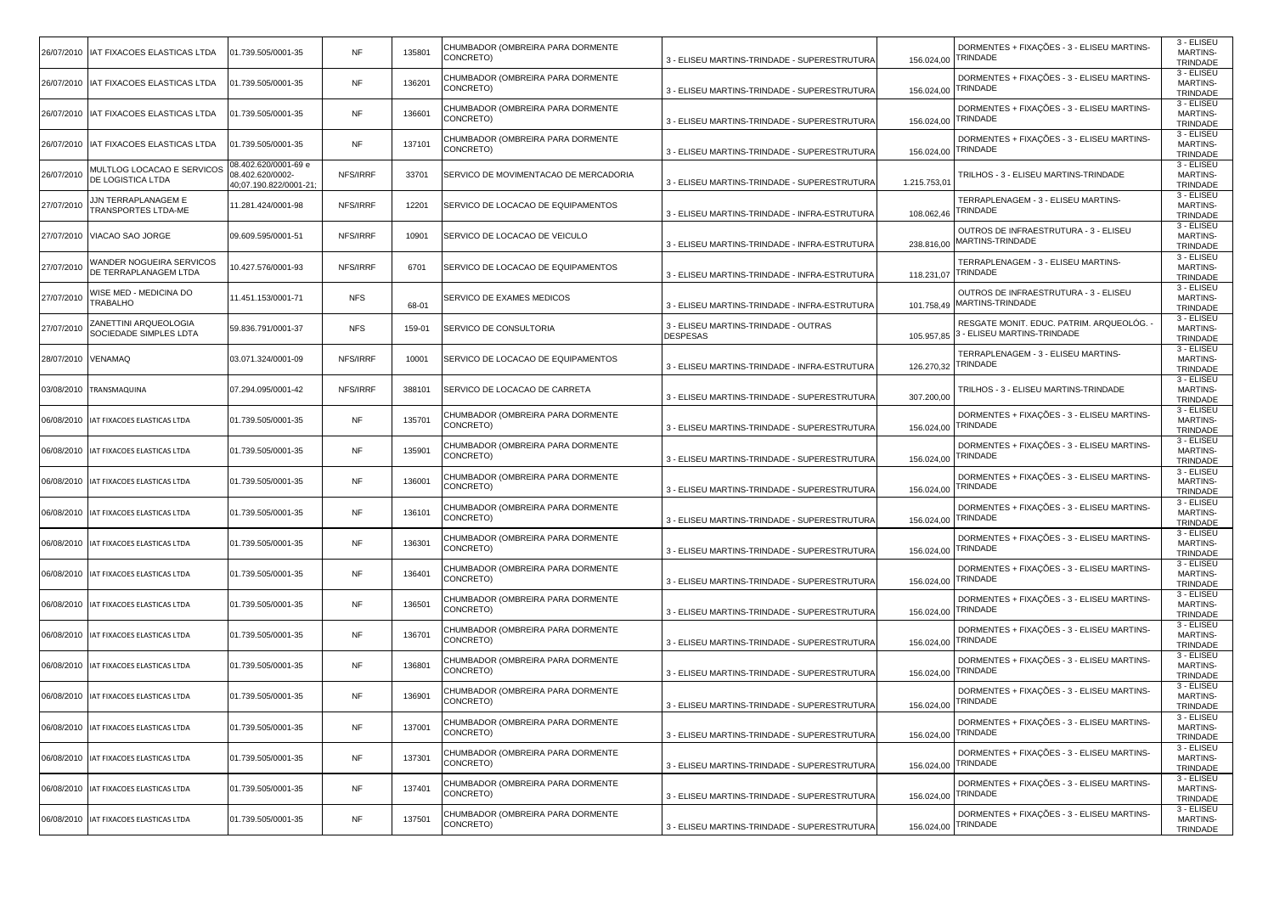| 26/07/2010 | IAT FIXACOES ELASTICAS LTDA                       | 01.739.505/0001-35                                                | <b>NF</b>  | 135801 | CHUMBADOR (OMBREIRA PARA DORMENTE<br>CONCRETO) | 3 - ELISEU MARTINS-TRINDADE - SUPERESTRUTURA            | 156.024,00  | DORMENTES + FIXAÇÕES - 3 - ELISEU MARTINS-<br>TRINDADE                 | 3 - ELISEU<br><b>MARTINS-</b><br>TRINDADE |
|------------|---------------------------------------------------|-------------------------------------------------------------------|------------|--------|------------------------------------------------|---------------------------------------------------------|-------------|------------------------------------------------------------------------|-------------------------------------------|
|            | 26/07/2010   IAT FIXACOES ELASTICAS LTDA          | 01.739.505/0001-35                                                | <b>NF</b>  | 136201 | CHUMBADOR (OMBREIRA PARA DORMENTE<br>CONCRETO) | 3 - ELISEU MARTINS-TRINDADE - SUPERESTRUTURA            | 156.024,00  | DORMENTES + FIXAÇÕES - 3 - ELISEU MARTINS-<br>TRINDADE                 | 3 - ELISEU<br><b>MARTINS-</b><br>TRINDADE |
| 26/07/2010 | IAT FIXACOES ELASTICAS LTDA                       | 01.739.505/0001-35                                                | <b>NF</b>  | 136601 | CHUMBADOR (OMBREIRA PARA DORMENTE<br>CONCRETO) | 3 - ELISEU MARTINS-TRINDADE - SUPERESTRUTURA            | 156.024,00  | DORMENTES + FIXAÇÕES - 3 - ELISEU MARTINS-<br>TRINDADE                 | 3 - ELISEU<br>MARTINS-<br>TRINDADE        |
| 26/07/2010 | IAT FIXACOES ELASTICAS LTDA                       | 01.739.505/0001-35                                                | <b>NF</b>  | 137101 | CHUMBADOR (OMBREIRA PARA DORMENTE<br>CONCRETO) | 3 - ELISEU MARTINS-TRINDADE - SUPERESTRUTURA            | 156.024,00  | DORMENTES + FIXAÇÕES - 3 - ELISEU MARTINS-<br>TRINDADE                 | 3 - ELISEU<br><b>MARTINS-</b><br>TRINDADE |
| 26/07/2010 | MULTLOG LOCACAO E SERVICOS<br>DE LOGISTICA LTDA   | 08.402.620/0001-69 e<br>08.402.620/0002-<br>40;07.190.822/0001-21 | NFS/IRRF   | 33701  | SERVICO DE MOVIMENTACAO DE MERCADORIA          | 3 - ELISEU MARTINS-TRINDADE - SUPERESTRUTURA            | 1.215.753,0 | TRILHOS - 3 - ELISEU MARTINS-TRINDADE                                  | 3 - ELISEU<br><b>MARTINS-</b><br>TRINDADE |
| 27/07/2010 | <b>JJN TERRAPLANAGEM E</b><br>TRANSPORTES LTDA-ME | 11.281.424/0001-98                                                | NFS/IRRF   | 12201  | SERVICO DE LOCACAO DE EQUIPAMENTOS             | 3 - ELISEU MARTINS-TRINDADE - INFRA-ESTRUTURA           | 108.062,46  | TERRAPLENAGEM - 3 - ELISEU MARTINS-<br>TRINDADE                        | 3 - ELISEU<br><b>MARTINS-</b><br>TRINDADE |
| 27/07/2010 | VIACAO SAO JORGE                                  | 09.609.595/0001-51                                                | NFS/IRRF   | 10901  | SERVICO DE LOCACAO DE VEICULO                  | 3 - ELISEU MARTINS-TRINDADE - INFRA-ESTRUTURA           | 238.816,00  | OUTROS DE INFRAESTRUTURA - 3 - ELISEU<br>MARTINS-TRINDADE              | 3 - ELISEU<br><b>MARTINS-</b><br>TRINDADE |
| 27/07/2010 | WANDER NOGUEIRA SERVICOS<br>DE TERRAPLANAGEM LTDA | 10.427.576/0001-93                                                | NFS/IRRF   | 6701   | SERVICO DE LOCACAO DE EQUIPAMENTOS             | 3 - ELISEU MARTINS-TRINDADE - INFRA-ESTRUTURA           | 118.231,07  | TERRAPLENAGEM - 3 - ELISEU MARTINS-<br>TRINDADE                        | 3 - ELISEU<br><b>MARTINS-</b><br>TRINDADE |
| 27/07/2010 | WISE MED - MEDICINA DO<br>TRABALHO                | 11.451.153/0001-71                                                | <b>NFS</b> | 68-01  | SERVICO DE EXAMES MEDICOS                      | 3 - ELISEU MARTINS-TRINDADE - INFRA-ESTRUTURA           | 101.758,49  | OUTROS DE INFRAESTRUTURA - 3 - ELISEU<br>MARTINS-TRINDADE              | 3 - ELISEU<br><b>MARTINS-</b><br>TRINDADE |
| 27/07/201  | ZANETTINI ARQUEOLOGIA<br>SOCIEDADE SIMPLES LDTA   | 59.836.791/0001-37                                                | <b>NFS</b> | 159-01 | SERVICO DE CONSULTORIA                         | 3 - ELISEU MARTINS-TRINDADE - OUTRAS<br><b>DESPESAS</b> | 105.957,85  | RESGATE MONIT. EDUC. PATRIM. ARQUEOLÓG.<br>3 - ELISEU MARTINS-TRINDADE | 3 - ELISEU<br><b>MARTINS-</b><br>TRINDADE |
| 28/07/2010 | /ENAMAQ                                           | 03.071.324/0001-09                                                | NFS/IRRF   | 10001  | SERVICO DE LOCACAO DE EQUIPAMENTOS             | 3 - ELISEU MARTINS-TRINDADE - INFRA-ESTRUTURA           | 126.270,32  | TERRAPLENAGEM - 3 - ELISEU MARTINS-<br>TRINDADE                        | 3 - ELISEU<br><b>MARTINS-</b><br>TRINDADE |
| 03/08/2010 | TRANSMAQUINA                                      | 07.294.095/0001-42                                                | NFS/IRRF   | 388101 | SERVICO DE LOCACAO DE CARRETA                  | 3 - ELISEU MARTINS-TRINDADE - SUPERESTRUTURA            | 307.200,00  | TRILHOS - 3 - ELISEU MARTINS-TRINDADE                                  | 3 - ELISEU<br>MARTINS-<br>TRINDADE        |
| 06/08/2010 | AT FIXACOES ELASTICAS LTDA                        | 01.739.505/0001-35                                                | <b>NF</b>  | 135701 | CHUMBADOR (OMBREIRA PARA DORMENTE<br>CONCRETO) | 3 - ELISEU MARTINS-TRINDADE - SUPERESTRUTURA            | 156.024,00  | DORMENTES + FIXAÇÕES - 3 - ELISEU MARTINS-<br>TRINDADE                 | 3 - ELISEU<br><b>MARTINS-</b><br>TRINDADE |
| 06/08/2010 | IAT FIXACOES ELASTICAS LTDA                       | 01.739.505/0001-35                                                | <b>NF</b>  | 135901 | CHUMBADOR (OMBREIRA PARA DORMENTE<br>CONCRETO) | 3 - ELISEU MARTINS-TRINDADE - SUPERESTRUTURA            | 156.024,00  | DORMENTES + FIXAÇÕES - 3 - ELISEU MARTINS-<br>TRINDADE                 | 3 - ELISEU<br><b>MARTINS-</b><br>TRINDADE |
| 06/08/2010 | IAT FIXACOES ELASTICAS LTDA                       | 01.739.505/0001-35                                                | <b>NF</b>  | 136001 | CHUMBADOR (OMBREIRA PARA DORMENTE<br>CONCRETO) | 3 - ELISEU MARTINS-TRINDADE - SUPERESTRUTURA            | 156.024,00  | DORMENTES + FIXAÇÕES - 3 - ELISEU MARTINS-<br>TRINDADE                 | 3 - ELISEU<br><b>MARTINS-</b><br>TRINDADE |
| 06/08/2010 | AT FIXACOES ELASTICAS LTDA                        | 01.739.505/0001-35                                                | <b>NF</b>  | 136101 | CHUMBADOR (OMBREIRA PARA DORMENTE<br>CONCRETO) | 3 - ELISEU MARTINS-TRINDADE - SUPERESTRUTURA            | 156.024,00  | DORMENTES + FIXAÇÕES - 3 - ELISEU MARTINS-<br>TRINDADE                 | 3 - ELISEU<br>MARTINS-<br>TRINDADE        |
| 06/08/2010 | AT FIXACOES ELASTICAS LTDA                        | 01.739.505/0001-35                                                | <b>NF</b>  | 136301 | CHUMBADOR (OMBREIRA PARA DORMENTE<br>CONCRETO) | 3 - ELISEU MARTINS-TRINDADE - SUPERESTRUTURA            | 156.024,00  | DORMENTES + FIXAÇÕES - 3 - ELISEU MARTINS-<br>TRINDADE                 | 3 - ELISEU<br><b>MARTINS-</b><br>TRINDADE |
| 06/08/2010 | IAT FIXACOES ELASTICAS LTDA                       | 01.739.505/0001-35                                                | <b>NF</b>  | 136401 | CHUMBADOR (OMBREIRA PARA DORMENTE<br>CONCRETO) | 3 - ELISEU MARTINS-TRINDADE - SUPERESTRUTURA            | 156.024,00  | DORMENTES + FIXAÇÕES - 3 - ELISEU MARTINS-<br>TRINDADE                 | 3 - ELISEU<br>MARTINS-<br>TRINDADE        |
| 06/08/2010 | IAT FIXACOES ELASTICAS LTDA                       | 01.739.505/0001-35                                                | <b>NF</b>  | 136501 | CHUMBADOR (OMBREIRA PARA DORMENTE<br>CONCRETO) | 3 - ELISEU MARTINS-TRINDADE - SUPERESTRUTURA            | 156.024,00  | DORMENTES + FIXAÇÕES - 3 - ELISEU MARTINS-<br>TRINDADE                 | 3 - ELISEU<br>MARTINS-<br>TRINDADE        |
| 06/08/2010 | AT FIXACOES ELASTICAS LTDA                        | 01.739.505/0001-35                                                | <b>NF</b>  | 136701 | CHUMBADOR (OMBREIRA PARA DORMENTE<br>CONCRETO) | 3 - ELISEU MARTINS-TRINDADE - SUPERESTRUTURA            | 156.024,00  | DORMENTES + FIXAÇÕES - 3 - ELISEU MARTINS-<br>TRINDADE                 | 3 - ELISEU<br>MARTINS-<br>TRINDADE        |
| 06/08/2010 | AT FIXACOES ELASTICAS LTDA                        | 01.739.505/0001-35                                                | <b>NF</b>  | 136801 | CHUMBADOR (OMBREIRA PARA DORMENTE<br>CONCRETO) | 3 - ELISEU MARTINS-TRINDADE - SUPERESTRUTURA            | 156.024,00  | DORMENTES + FIXAÇÕES - 3 - ELISEU MARTINS-<br>TRINDADE                 | 3 - ELISEU<br><b>MARTINS-</b><br>TRINDADE |
|            | 06/08/2010 IAT FIXACOES ELASTICAS LTDA            | 01.739.505/0001-35                                                | <b>NF</b>  | 136901 | CHUMBADOR (OMBREIRA PARA DORMENTE<br>CONCRETO) | 3 - ELISEU MARTINS-TRINDADE - SUPERESTRUTURA            | 156.024,00  | DORMENTES + FIXAÇÕES - 3 - ELISEU MARTINS-<br>TRINDADE                 | 3 - ELISEU<br>MARTINS-<br>TRINDADE        |
|            | 06/08/2010 IAT FIXACOES ELASTICAS LTDA            | 01.739.505/0001-35                                                | <b>NF</b>  | 137001 | CHUMBADOR (OMBREIRA PARA DORMENTE<br>CONCRETO) | 3 - ELISEU MARTINS-TRINDADE - SUPERESTRUTURA            | 156.024,00  | DORMENTES + FIXAÇÕES - 3 - ELISEU MARTINS-<br>TRINDADE                 | 3 - ELISEU<br><b>MARTINS-</b><br>TRINDADE |
| 06/08/2010 | IAT FIXACOES ELASTICAS LTDA                       | 01.739.505/0001-35                                                | <b>NF</b>  | 137301 | CHUMBADOR (OMBREIRA PARA DORMENTE<br>CONCRETO) | 3 - ELISEU MARTINS-TRINDADE - SUPERESTRUTURA            | 156.024,00  | DORMENTES + FIXAÇÕES - 3 - ELISEU MARTINS-<br>TRINDADE                 | 3 - ELISEU<br>MARTINS-<br>TRINDADE        |
| 06/08/2010 | AT FIXACOES ELASTICAS LTDA                        | 01.739.505/0001-35                                                | <b>NF</b>  | 137401 | CHUMBADOR (OMBREIRA PARA DORMENTE<br>CONCRETO) | 3 - ELISEU MARTINS-TRINDADE - SUPERESTRUTURA            | 156.024,00  | DORMENTES + FIXAÇÕES - 3 - ELISEU MARTINS-<br>TRINDADE                 | 3 - ELISEU<br><b>MARTINS-</b><br>TRINDADE |
| 06/08/2010 | IAT FIXACOES ELASTICAS LTDA                       | 01.739.505/0001-35                                                | NF         | 137501 | CHUMBADOR (OMBREIRA PARA DORMENTE<br>CONCRETO) | 3 - ELISEU MARTINS-TRINDADE - SUPERESTRUTURA            | 156.024,00  | DORMENTES + FIXAÇÕES - 3 - ELISEU MARTINS-<br>TRINDADE                 | 3 - ELISEU<br><b>MARTINS-</b><br>TRINDADE |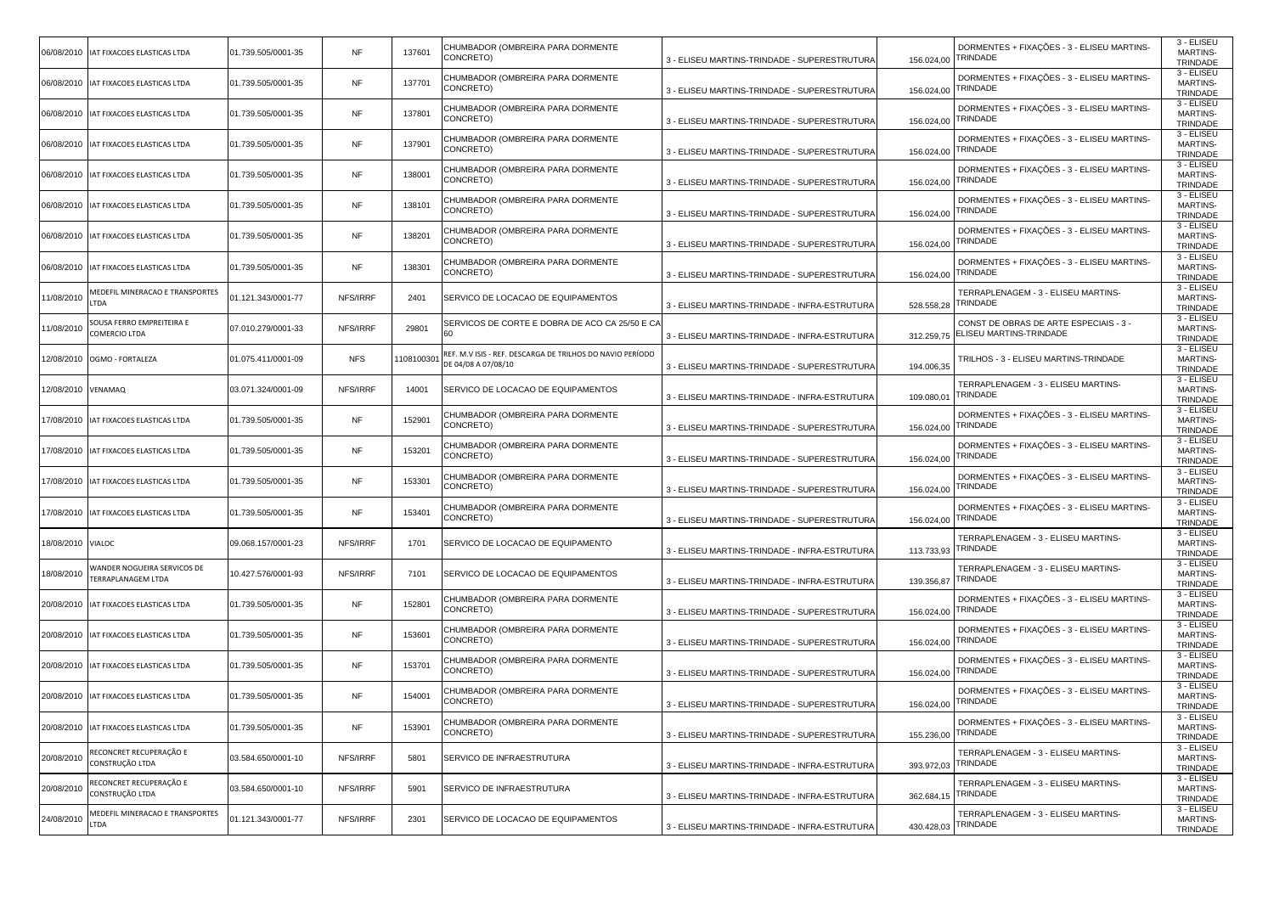|                    | 06/08/2010   IAT FIXACOES ELASTICAS LTDA                 | 01.739.505/0001-35 | <b>NF</b>  | 137601     | CHUMBADOR (OMBREIRA PARA DORMENTE<br>CONCRETO)                                   | 3 - ELISEU MARTINS-TRINDADE - SUPERESTRUTURA  | 156.024,00 | DORMENTES + FIXAÇÕES - 3 - ELISEU MARTINS-<br>TRINDADE               | 3 - ELISEU<br><b>MARTINS-</b><br>TRINDADE |
|--------------------|----------------------------------------------------------|--------------------|------------|------------|----------------------------------------------------------------------------------|-----------------------------------------------|------------|----------------------------------------------------------------------|-------------------------------------------|
|                    | 06/08/2010   IAT FIXACOES ELASTICAS LTDA                 | 01.739.505/0001-35 | <b>NF</b>  | 137701     | CHUMBADOR (OMBREIRA PARA DORMENTE<br>CONCRETO)                                   | 3 - ELISEU MARTINS-TRINDADE - SUPERESTRUTURA  | 156.024,00 | DORMENTES + FIXAÇÕES - 3 - ELISEU MARTINS-<br>TRINDADE               | 3 - ELISEU<br>MARTINS-<br>TRINDADE        |
|                    | 06/08/2010   IAT FIXACOES ELASTICAS LTDA                 | 01.739.505/0001-35 | <b>NF</b>  | 137801     | CHUMBADOR (OMBREIRA PARA DORMENTE<br>CONCRETO)                                   | 3 - ELISEU MARTINS-TRINDADE - SUPERESTRUTURA  | 156.024,00 | DORMENTES + FIXAÇÕES - 3 - ELISEU MARTINS-<br>TRINDADE               | 3 - ELISEU<br><b>MARTINS-</b><br>TRINDADE |
|                    | 06/08/2010   IAT FIXACOES ELASTICAS LTDA                 | 01.739.505/0001-35 | <b>NF</b>  | 137901     | CHUMBADOR (OMBREIRA PARA DORMENTE<br>CONCRETO)                                   | 3 - ELISEU MARTINS-TRINDADE - SUPERESTRUTURA  | 156.024,00 | DORMENTES + FIXAÇÕES - 3 - ELISEU MARTINS-<br>TRINDADE               | 3 - ELISEU<br>MARTINS-<br>TRINDADE        |
|                    | 06/08/2010   IAT FIXACOES ELASTICAS LTDA                 | 01.739.505/0001-35 | <b>NF</b>  | 138001     | CHUMBADOR (OMBREIRA PARA DORMENTE<br>CONCRETO)                                   | 3 - ELISEU MARTINS-TRINDADE - SUPERESTRUTURA  | 156.024,00 | DORMENTES + FIXAÇÕES - 3 - ELISEU MARTINS-<br>TRINDADE               | 3 - ELISEU<br><b>MARTINS-</b><br>TRINDADE |
|                    | 06/08/2010   IAT FIXACOES ELASTICAS LTDA                 | 01.739.505/0001-35 | <b>NF</b>  | 138101     | CHUMBADOR (OMBREIRA PARA DORMENTE<br>CONCRETO)                                   | 3 - ELISEU MARTINS-TRINDADE - SUPERESTRUTURA  | 156.024,00 | DORMENTES + FIXAÇÕES - 3 - ELISEU MARTINS-<br>TRINDADE               | 3 - ELISEU<br><b>MARTINS-</b><br>TRINDADE |
|                    | 06/08/2010   IAT FIXACOES ELASTICAS LTDA                 | 01.739.505/0001-35 | <b>NF</b>  | 138201     | CHUMBADOR (OMBREIRA PARA DORMENTE<br>CONCRETO)                                   | 3 - ELISEU MARTINS-TRINDADE - SUPERESTRUTURA  | 156.024,00 | DORMENTES + FIXAÇÕES - 3 - ELISEU MARTINS-<br>TRINDADE               | 3 - ELISEU<br><b>MARTINS-</b><br>TRINDADE |
|                    | 06/08/2010   IAT FIXACOES ELASTICAS LTDA                 | 01.739.505/0001-35 | <b>NF</b>  | 138301     | CHUMBADOR (OMBREIRA PARA DORMENTE<br>CONCRETO)                                   | 3 - ELISEU MARTINS-TRINDADE - SUPERESTRUTURA  | 156.024,00 | DORMENTES + FIXAÇÕES - 3 - ELISEU MARTINS-<br><b><i>FRINDADE</i></b> | 3 - ELISEU<br><b>MARTINS-</b><br>TRINDADE |
| 11/08/2010         | MEDEFIL MINERACAO E TRANSPORTES<br>TDA.                  | 01.121.343/0001-77 | NFS/IRRF   | 2401       | SERVICO DE LOCACAO DE EQUIPAMENTOS                                               | 3 - ELISEU MARTINS-TRINDADE - INFRA-ESTRUTURA | 528.558.28 | TERRAPLENAGEM - 3 - ELISEU MARTINS-<br><b><i>FRINDADE</i></b>        | 3 - ELISEU<br><b>MARTINS-</b><br>TRINDADE |
| 11/08/2010         | SOUSA FERRO EMPREITEIRA E<br>COMERCIO LTDA               | 07.010.279/0001-33 | NFS/IRRF   | 29801      | SERVICOS DE CORTE E DOBRA DE ACO CA 25/50 E CA<br>60                             | 3 - ELISEU MARTINS-TRINDADE - INFRA-ESTRUTURA | 312.259,75 | CONST DE OBRAS DE ARTE ESPECIAIS - 3 -<br>ELISEU MARTINS-TRINDADE    | 3 - ELISEU<br><b>MARTINS-</b><br>TRINDADE |
|                    | 12/08/2010 OGMO - FORTALEZA                              | 01.075.411/0001-09 | <b>NFS</b> | 1108100301 | REF. M.V ISIS - REF. DESCARGA DE TRILHOS DO NAVIO PERÍODO<br>DE 04/08 A 07/08/10 | 3 - ELISEU MARTINS-TRINDADE - SUPERESTRUTURA  | 194.006,35 | TRILHOS - 3 - ELISEU MARTINS-TRINDADE                                | 3 - ELISEU<br><b>MARTINS-</b><br>TRINDADE |
| 12/08/2010 VENAMAQ |                                                          | 03.071.324/0001-09 | NFS/IRRF   | 14001      | SERVICO DE LOCACAO DE EQUIPAMENTOS                                               | 3 - ELISEU MARTINS-TRINDADE - INFRA-ESTRUTURA | 109.080,01 | TERRAPLENAGEM - 3 - ELISEU MARTINS-<br>TRINDADE                      | 3 - ELISEU<br><b>MARTINS-</b><br>TRINDADE |
| 17/08/2010         | IAT FIXACOES ELASTICAS LTDA                              | 01.739.505/0001-35 | NF         | 152901     | CHUMBADOR (OMBREIRA PARA DORMENTE<br>CONCRETO)                                   | 3 - ELISEU MARTINS-TRINDADE - SUPERESTRUTURA  | 156.024,00 | DORMENTES + FIXAÇÕES - 3 - ELISEU MARTINS-<br><b><i>FRINDADE</i></b> | 3 - ELISEU<br><b>MARTINS-</b><br>TRINDADE |
|                    | 17/08/2010   IAT FIXACOES ELASTICAS LTDA                 | 01.739.505/0001-35 | <b>NF</b>  | 153201     | CHUMBADOR (OMBREIRA PARA DORMENTE<br>CONCRETO)                                   | 3 - ELISEU MARTINS-TRINDADE - SUPERESTRUTURA  | 156.024,00 | DORMENTES + FIXAÇÕES - 3 - ELISEU MARTINS-<br>TRINDADE               | 3 - ELISEU<br><b>MARTINS-</b><br>TRINDADE |
|                    | 17/08/2010   IAT FIXACOES ELASTICAS LTDA                 | 01.739.505/0001-35 | <b>NF</b>  | 153301     | CHUMBADOR (OMBREIRA PARA DORMENTE<br>CONCRETO)                                   | 3 - ELISEU MARTINS-TRINDADE - SUPERESTRUTURA  | 156.024,00 | DORMENTES + FIXAÇÕES - 3 - ELISEU MARTINS-<br>TRINDADE               | 3 - ELISEU<br><b>MARTINS-</b><br>TRINDADE |
| 17/08/2010         | IAT FIXACOES ELASTICAS LTDA                              | 01.739.505/0001-35 | <b>NF</b>  | 153401     | CHUMBADOR (OMBREIRA PARA DORMENTE<br>CONCRETO)                                   | 3 - ELISEU MARTINS-TRINDADE - SUPERESTRUTURA  | 156.024,00 | DORMENTES + FIXAÇÕES - 3 - ELISEU MARTINS-<br><b><i>FRINDADE</i></b> | 3 - ELISEU<br><b>MARTINS-</b><br>TRINDADE |
| 18/08/2010 VIALOC  |                                                          | 09.068.157/0001-23 | NFS/IRRF   | 1701       | SERVICO DE LOCACAO DE EQUIPAMENTO                                                | 3 - ELISEU MARTINS-TRINDADE - INFRA-ESTRUTURA | 113.733,93 | TERRAPLENAGEM - 3 - ELISEU MARTINS-<br>TRINDADE                      | 3 - ELISEU<br><b>MARTINS-</b><br>TRINDADE |
| 18/08/2010         | WANDER NOGUEIRA SERVICOS DE<br><b>TERRAPLANAGEM LTDA</b> | 10.427.576/0001-93 | NFS/IRRF   | 7101       | SERVICO DE LOCACAO DE EQUIPAMENTOS                                               | 3 - ELISEU MARTINS-TRINDADE - INFRA-ESTRUTURA | 139.356,87 | TERRAPLENAGEM - 3 - ELISEU MARTINS-<br>TRINDADE                      | 3 - ELISEU<br><b>MARTINS-</b><br>TRINDADE |
|                    | 20/08/2010   IAT FIXACOES ELASTICAS LTDA                 | 01.739.505/0001-35 | <b>NF</b>  | 152801     | CHUMBADOR (OMBREIRA PARA DORMENTE<br>CONCRETO)                                   | 3 - ELISEU MARTINS-TRINDADE - SUPERESTRUTURA  | 156.024,00 | DORMENTES + FIXAÇÕES - 3 - ELISEU MARTINS-<br>TRINDADE               | 3 - ELISEU<br><b>MARTINS-</b><br>TRINDADE |
|                    | 20/08/2010   IAT FIXACOES ELASTICAS LTDA                 | 01.739.505/0001-35 | <b>NF</b>  | 153601     | CHUMBADOR (OMBREIRA PARA DORMENTE<br>CONCRETO)                                   | 3 - ELISEU MARTINS-TRINDADE - SUPERESTRUTURA  | 156.024,00 | DORMENTES + FIXAÇÕES - 3 - ELISEU MARTINS-<br>TRINDADE               | 3 - ELISEU<br><b>MARTINS-</b><br>TRINDADE |
|                    | 20/08/2010   IAT FIXACOES ELASTICAS LTDA                 | 01.739.505/0001-35 | NF         | 153701     | CHUMBADOR (OMBREIRA PARA DORMENTE<br>CONCRETO)                                   | 3 - ELISEU MARTINS-TRINDADE - SUPERESTRUTURA  | 156.024,00 | DORMENTES + FIXAÇÕES - 3 - ELISEU MARTINS-<br><b><i>FRINDADE</i></b> | 3 - ELISEU<br><b>MARTINS-</b><br>TRINDADE |
|                    | 20/08/2010   IAT FIXACOES ELASTICAS LTDA                 | 01.739.505/0001-35 | <b>NF</b>  | 154001     | CHUMBADOR (OMBREIRA PARA DORMENTE<br>CONCRETO)                                   | 3 - ELISEU MARTINS-TRINDADE - SUPERESTRUTURA  | 156.024,00 | DORMENTES + FIXAÇÕES - 3 - ELISEU MARTINS-<br>TRINDADE               | 3 - ELISEU<br><b>MARTINS-</b><br>TRINDADE |
|                    | 20/08/2010 IAT FIXACOES ELASTICAS LTDA                   | 01.739.505/0001-35 | <b>NF</b>  | 153901     | CHUMBADOR (OMBREIRA PARA DORMENTE<br>CONCRETO)                                   | 3 - ELISEU MARTINS-TRINDADE - SUPERESTRUTURA  | 155.236,00 | DORMENTES + FIXAÇÕES - 3 - ELISEU MARTINS-<br>TRINDADE               | 3 - ELISEU<br><b>MARTINS-</b><br>TRINDADE |
| 20/08/2010         | RECONCRET RECUPERAÇÃO E<br>CONSTRUÇÃO LTDA               | 03.584.650/0001-10 | NFS/IRRF   | 5801       | SERVICO DE INFRAESTRUTURA                                                        | 3 - ELISEU MARTINS-TRINDADE - INFRA-ESTRUTURA | 393.972,03 | TERRAPLENAGEM - 3 - ELISEU MARTINS-<br>TRINDADE                      | 3 - ELISEU<br>MARTINS-<br>TRINDADE        |
| 20/08/2010         |                                                          |                    |            |            |                                                                                  |                                               |            | TERRAPLENAGEM - 3 - ELISEU MARTINS-                                  | 3 - ELISEU<br><b>MARTINS-</b>             |
|                    | RECONCRET RECUPERAÇÃO E<br>CONSTRUÇÃO LTDA               | 03.584.650/0001-10 | NFS/IRRF   | 5901       | SERVICO DE INFRAESTRUTURA                                                        | 3 - ELISEU MARTINS-TRINDADE - INFRA-ESTRUTURA | 362.684,15 | TRINDADE                                                             | TRINDADE<br>3 - ELISEU                    |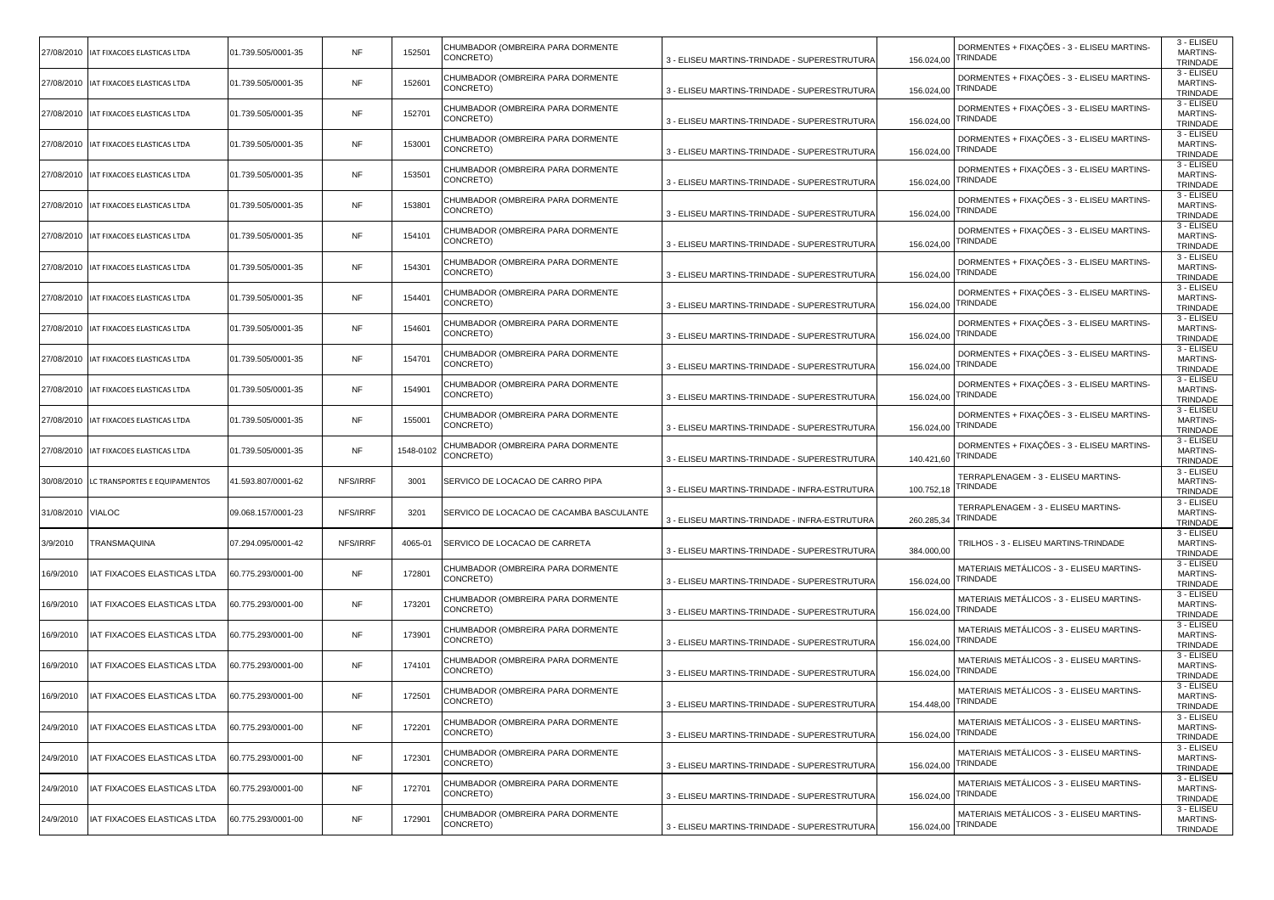| 27/08/2010 | IAT FIXACOES ELASTICAS LTDA              | 01.739.505/0001-35 | <b>NF</b> | 152501    | CHUMBADOR (OMBREIRA PARA DORMENTE<br>CONCRETO) | 3 - ELISEU MARTINS-TRINDADE - SUPERESTRUTURA  | 156.024,00 | DORMENTES + FIXAÇÕES - 3 - ELISEU MARTINS-<br>TRINDADE | 3 - ELISEU<br><b>MARTINS-</b><br>TRINDADE |
|------------|------------------------------------------|--------------------|-----------|-----------|------------------------------------------------|-----------------------------------------------|------------|--------------------------------------------------------|-------------------------------------------|
|            | 27/08/2010 IAT FIXACOES ELASTICAS LTDA   | 01.739.505/0001-35 | <b>NF</b> | 152601    | CHUMBADOR (OMBREIRA PARA DORMENTE<br>CONCRETO) | 3 - ELISEU MARTINS-TRINDADE - SUPERESTRUTURA  | 156.024,00 | DORMENTES + FIXAÇÕES - 3 - ELISEU MARTINS-<br>TRINDADE | 3 - ELISEU<br><b>MARTINS-</b><br>TRINDADE |
| 27/08/2010 | IAT FIXACOES ELASTICAS LTDA              | 01.739.505/0001-35 | <b>NF</b> | 152701    | CHUMBADOR (OMBREIRA PARA DORMENTE<br>CONCRETO) | 3 - ELISEU MARTINS-TRINDADE - SUPERESTRUTURA  | 156.024,00 | DORMENTES + FIXAÇÕES - 3 - ELISEU MARTINS-<br>TRINDADE | 3 - ELISEU<br><b>MARTINS-</b><br>TRINDADE |
|            | 27/08/2010   IAT FIXACOES ELASTICAS LTDA | 01.739.505/0001-35 | <b>NF</b> | 153001    | CHUMBADOR (OMBREIRA PARA DORMENTE<br>CONCRETO) | 3 - ELISEU MARTINS-TRINDADE - SUPERESTRUTURA  | 156.024,00 | DORMENTES + FIXAÇÕES - 3 - ELISEU MARTINS-<br>TRINDADE | 3 - ELISEU<br>MARTINS-<br>TRINDADE        |
| 27/08/2010 | IAT FIXACOES ELASTICAS LTDA              | 01.739.505/0001-35 | <b>NF</b> | 153501    | CHUMBADOR (OMBREIRA PARA DORMENTE<br>CONCRETO) | 3 - ELISEU MARTINS-TRINDADE - SUPERESTRUTURA  | 156.024,00 | DORMENTES + FIXAÇÕES - 3 - ELISEU MARTINS-<br>TRINDADE | 3 - ELISEU<br><b>MARTINS-</b><br>TRINDADE |
|            | 27/08/2010 IAT FIXACOES ELASTICAS LTDA   | 01.739.505/0001-35 | <b>NF</b> | 153801    | CHUMBADOR (OMBREIRA PARA DORMENTE<br>CONCRETO) | 3 - ELISEU MARTINS-TRINDADE - SUPERESTRUTURA  | 156.024,00 | DORMENTES + FIXAÇÕES - 3 - ELISEU MARTINS-<br>TRINDADE | 3 - ELISEU<br><b>MARTINS-</b><br>TRINDADE |
|            | 27/08/2010   IAT FIXACOES ELASTICAS LTDA | 01.739.505/0001-35 | <b>NF</b> | 154101    | CHUMBADOR (OMBREIRA PARA DORMENTE<br>CONCRETO) | 3 - ELISEU MARTINS-TRINDADE - SUPERESTRUTURA  | 156.024,00 | DORMENTES + FIXAÇÕES - 3 - ELISEU MARTINS-<br>TRINDADE | 3 - ELISEU<br><b>MARTINS-</b><br>TRINDADE |
| 27/08/2010 | IAT FIXACOES ELASTICAS LTDA              | 01.739.505/0001-35 | <b>NF</b> | 154301    | CHUMBADOR (OMBREIRA PARA DORMENTE<br>CONCRETO) | 3 - ELISEU MARTINS-TRINDADE - SUPERESTRUTURA  | 156.024,00 | DORMENTES + FIXAÇÕES - 3 - ELISEU MARTINS-<br>TRINDADE | 3 - ELISEU<br><b>MARTINS-</b><br>TRINDADE |
|            | 27/08/2010   IAT FIXACOES ELASTICAS LTDA | 01.739.505/0001-35 | <b>NF</b> | 154401    | CHUMBADOR (OMBREIRA PARA DORMENTE<br>CONCRETO) | 3 - ELISEU MARTINS-TRINDADE - SUPERESTRUTURA  | 156.024,00 | DORMENTES + FIXAÇÕES - 3 - ELISEU MARTINS-<br>TRINDADE | 3 - ELISEU<br><b>MARTINS-</b><br>TRINDADE |
|            | 27/08/2010   IAT FIXACOES ELASTICAS LTDA | 01.739.505/0001-35 | <b>NF</b> | 154601    | CHUMBADOR (OMBREIRA PARA DORMENTE<br>CONCRETO) | 3 - ELISEU MARTINS-TRINDADE - SUPERESTRUTURA  | 156.024,00 | DORMENTES + FIXAÇÕES - 3 - ELISEU MARTINS-<br>TRINDADE | 3 - ELISEU<br><b>MARTINS-</b><br>TRINDADE |
| 27/08/2010 | IAT FIXACOES ELASTICAS LTDA              | 01.739.505/0001-35 | <b>NF</b> | 154701    | CHUMBADOR (OMBREIRA PARA DORMENTE<br>CONCRETO) | 3 - ELISEU MARTINS-TRINDADE - SUPERESTRUTURA  | 156.024,00 | DORMENTES + FIXAÇÕES - 3 - ELISEU MARTINS-<br>TRINDADE | 3 - ELISEU<br><b>MARTINS-</b><br>TRINDADE |
|            | 27/08/2010   IAT FIXACOES ELASTICAS LTDA | 01.739.505/0001-35 | <b>NF</b> | 154901    | CHUMBADOR (OMBREIRA PARA DORMENTE<br>CONCRETO) | 3 - ELISEU MARTINS-TRINDADE - SUPERESTRUTURA  | 156.024,00 | DORMENTES + FIXAÇÕES - 3 - ELISEU MARTINS-<br>TRINDADE | 3 - ELISEU<br><b>MARTINS-</b><br>TRINDADE |
| 27/08/2010 | IAT FIXACOES ELASTICAS LTDA              | 01.739.505/0001-35 | <b>NF</b> | 155001    | CHUMBADOR (OMBREIRA PARA DORMENTE<br>CONCRETO) | 3 - ELISEU MARTINS-TRINDADE - SUPERESTRUTURA  | 156.024,00 | DORMENTES + FIXAÇÕES - 3 - ELISEU MARTINS-<br>TRINDADE | 3 - ELISEU<br><b>MARTINS-</b><br>TRINDADE |
| 27/08/2010 | IAT FIXACOES ELASTICAS LTDA              | 01.739.505/0001-35 | <b>NF</b> | 1548-0102 | CHUMBADOR (OMBREIRA PARA DORMENTE<br>CONCRETO) | 3 - ELISEU MARTINS-TRINDADE - SUPERESTRUTURA  | 140.421,60 | DORMENTES + FIXAÇÕES - 3 - ELISEU MARTINS-<br>TRINDADE | 3 - ELISEU<br><b>MARTINS-</b><br>TRINDADE |
| 30/08/2010 | LC TRANSPORTES E EQUIPAMENTOS            | 41.593.807/0001-62 | NFS/IRRF  | 3001      | SERVICO DE LOCACAO DE CARRO PIPA               | 3 - ELISEU MARTINS-TRINDADE - INFRA-ESTRUTURA | 100.752,18 | TERRAPLENAGEM - 3 - ELISEU MARTINS-<br>TRINDADE        | 3 - ELISEU<br><b>MARTINS-</b><br>TRINDADE |
| 31/08/2010 | <b>VIALOC</b>                            |                    |           |           |                                                |                                               |            |                                                        |                                           |
|            |                                          | 09.068.157/0001-23 | NFS/IRRF  | 3201      | SERVICO DE LOCACAO DE CACAMBA BASCULANTE       | 3 - ELISEU MARTINS-TRINDADE - INFRA-ESTRUTURA | 260.285,34 | TERRAPLENAGEM - 3 - ELISEU MARTINS-<br>TRINDADE        | 3 - ELISEU<br><b>MARTINS-</b><br>TRINDADE |
| 3/9/2010   | TRANSMAQUINA                             | 07.294.095/0001-42 | NFS/IRRF  | 4065-01   | SERVICO DE LOCACAO DE CARRETA                  | 3 - ELISEU MARTINS-TRINDADE - SUPERESTRUTURA  | 384.000,00 | TRILHOS - 3 - ELISEU MARTINS-TRINDADE                  | 3 - ELISEU<br><b>MARTINS-</b><br>TRINDADE |
| 16/9/2010  | IAT FIXACOES ELASTICAS LTDA              | 60.775.293/0001-00 | <b>NF</b> | 172801    | CHUMBADOR (OMBREIRA PARA DORMENTE<br>CONCRETO) | 3 - ELISEU MARTINS-TRINDADE - SUPERESTRUTURA  | 156.024,00 | MATERIAIS METÁLICOS - 3 - ELISEU MARTINS-<br>TRINDADE  | 3 - ELISEU<br><b>MARTINS-</b><br>TRINDADE |
| 16/9/2010  | IAT FIXACOES ELASTICAS LTDA              | 60.775.293/0001-00 | <b>NF</b> | 173201    | CHUMBADOR (OMBREIRA PARA DORMENTE<br>CONCRETO) | 3 - ELISEU MARTINS-TRINDADE - SUPERESTRUTURA  | 156.024,00 | MATERIAIS METÁLICOS - 3 - ELISEU MARTINS-<br>TRINDADE  | 3 - ELISEU<br><b>MARTINS-</b><br>TRINDADE |
| 16/9/2010  | IAT FIXACOES ELASTICAS LTDA              | 60.775.293/0001-00 | <b>NF</b> | 173901    | CHUMBADOR (OMBREIRA PARA DORMENTE<br>CONCRETO) | 3 - ELISEU MARTINS-TRINDADE - SUPERESTRUTURA  | 156.024,00 | MATERIAIS METÁLICOS - 3 - ELISEU MARTINS·<br>TRINDADE  | 3 - ELISEU<br><b>MARTINS-</b><br>TRINDADE |
| 16/9/2010  | IAT FIXACOES ELASTICAS LTDA              | 60.775.293/0001-00 | NF        | 174101    | CHUMBADOR (OMBREIRA PARA DORMENTE<br>CONCRETO) | 3 - ELISEU MARTINS-TRINDADE - SUPERESTRUTURA  | 156.024,00 | MATERIAIS METÁLICOS - 3 - ELISEU MARTINS-<br>TRINDADE  | 3 - ELISEU<br><b>MARTINS-</b><br>TRINDADE |
| 16/9/2010  | IAT FIXACOES ELASTICAS LTDA              | 60.775.293/0001-00 | <b>NF</b> | 172501    | CHUMBADOR (OMBREIRA PARA DORMENTE<br>CONCRETO) | 3 - ELISEU MARTINS-TRINDADE - SUPERESTRUTURA  | 154.448,00 | MATERIAIS METÁLICOS - 3 - ELISEU MARTINS-<br>TRINDADE  | 3 - ELISEU<br><b>MARTINS-</b><br>TRINDADE |
| 24/9/2010  | IAT FIXACOES ELASTICAS LTDA              | 60.775.293/0001-00 | NF        | 172201    | CHUMBADOR (OMBREIRA PARA DORMENTE<br>CONCRETO) | 3 - ELISEU MARTINS-TRINDADE - SUPERESTRUTURA  | 156.024,00 | MATERIAIS METALICOS - 3 - ELISEU MARTINS-<br>TRINDADE  | 3 - ELISEU<br><b>MARTINS-</b><br>TRINDADE |
| 24/9/2010  | IAT FIXACOES ELASTICAS LTDA              | 60.775.293/0001-00 | <b>NF</b> | 172301    | CHUMBADOR (OMBREIRA PARA DORMENTE<br>CONCRETO) | 3 - ELISEU MARTINS-TRINDADE - SUPERESTRUTURA  | 156.024,00 | MATERIAIS METÁLICOS - 3 - ELISEU MARTINS-<br>TRINDADE  | 3 - ELISEU<br><b>MARTINS-</b><br>TRINDADE |
| 24/9/2010  | IAT FIXACOES ELASTICAS LTDA              | 60.775.293/0001-00 | NF        | 172701    | CHUMBADOR (OMBREIRA PARA DORMENTE<br>CONCRETO) | 3 - ELISEU MARTINS-TRINDADE - SUPERESTRUTURA  | 156.024,00 | MATERIAIS METÁLICOS - 3 - ELISEU MARTINS-<br>TRINDADE  | 3 - ELISEU<br><b>MARTINS-</b><br>TRINDADE |